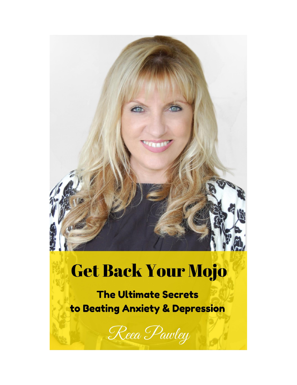

# **Get Back Your Mojo**

**The Ultimate Secrets** to Beating Anxiety & Depression

Reea Pawley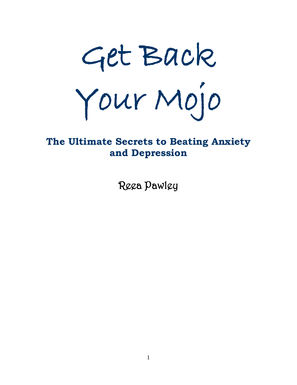

## **The Ultimate Secrets to Beating Anxiety and Depression**

Reea Pawley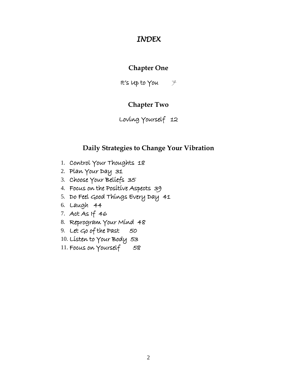#### *INDEX*

#### **Chapter One**

It's up to You  $\mathcal{F}$ 

#### **Chapter Two**

#### Loving Yourself 12

#### **Daily Strategies to Change Your Vibration**

- 1. Control Your Thoughts 18
- 2. Plan Your Day 31
- 3. Choose Your Beliefs 35
- 4. Focus on the Positive Aspects 39
- 5. Do Feel Good Things Every Day 41
- 6. Laugh 44
- 7. Act As If 46
- 8. Reprogram Your Mind 48
- 9. Let Go of the Past 50
- 10. Listen to Your Body 53
- 11. Focus on Yourself 58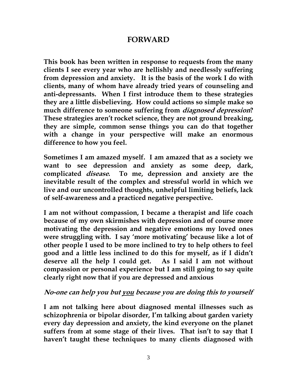#### **FORWARD**

**This book has been written in response to requests from the many clients I see every year who are hellishly and needlessly suffering from depression and anxiety. It is the basis of the work I do with clients, many of whom have already tried years of counseling and anti-depressants. When I first introduce them to these strategies they are a little disbelieving. How could actions so simple make so much difference to someone suffering from diagnosed depression? These strategies aren't rocket science, they are not ground breaking, they are simple, common sense things you can do that together with a change in your perspective will make an enormous difference to how you feel.**

**Sometimes I am amazed myself. I am amazed that as a society we want to see depression and anxiety as some deep, dark, complicated disease. To me, depression and anxiety are the inevitable result of the complex and stressful world in which we live and our uncontrolled thoughts, unhelpful limiting beliefs, lack of self-awareness and a practiced negative perspective.**

**I am not without compassion, I became a therapist and life coach because of my own skirmishes with depression and of course more motivating the depression and negative emotions my loved ones were struggling with. I say 'more motivating' because like a lot of other people I used to be more inclined to try to help others to feel good and a little less inclined to do this for myself, as if I didn't deserve all the help I could get. As I said I am not without compassion or personal experience but I am still going to say quite clearly right now that if you are depressed and anxious** 

#### **No-one can help you but you because you are doing this to yourself**

**I am not talking here about diagnosed mental illnesses such as schizophrenia or bipolar disorder, I'm talking about garden variety every day depression and anxiety, the kind everyone on the planet suffers from at some stage of their lives. That isn't to say that I haven't taught these techniques to many clients diagnosed with**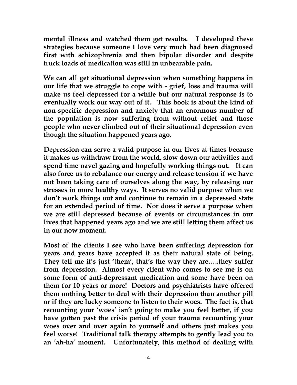**mental illness and watched them get results. I developed these strategies because someone I love very much had been diagnosed first with schizophrenia and then bipolar disorder and despite truck loads of medication was still in unbearable pain.** 

**We can all get situational depression when something happens in our life that we struggle to cope with - grief, loss and trauma will make us feel depressed for a while but our natural response is to eventually work our way out of it. This book is about the kind of non-specific depression and anxiety that an enormous number of the population is now suffering from without relief and those people who never climbed out of their situational depression even though the situation happened years ago.**

**Depression can serve a valid purpose in our lives at times because it makes us withdraw from the world, slow down our activities and spend time navel gazing and hopefully working things out. It can also force us to rebalance our energy and release tension if we have not been taking care of ourselves along the way, by releasing our stresses in more healthy ways. It serves no valid purpose when we don't work things out and continue to remain in a depressed state for an extended period of time. Nor does it serve a purpose when we are still depressed because of events or circumstances in our lives that happened years ago and we are still letting them affect us in our now moment.**

**Most of the clients I see who have been suffering depression for years and years have accepted it as their natural state of being. They tell me it's just 'them', that's the way they are…..they suffer from depression. Almost every client who comes to see me is on some form of anti-depressant medication and some have been on them for 10 years or more! Doctors and psychiatrists have offered them nothing better to deal with their depression than another pill or if they are lucky someone to listen to their woes. The fact is, that recounting your 'woes' isn't going to make you feel better, if you have gotten past the crisis period of your trauma recounting your woes over and over again to yourself and others just makes you feel worse! Traditional talk therapy attempts to gently lead you to an 'ah-ha' moment. Unfortunately, this method of dealing with**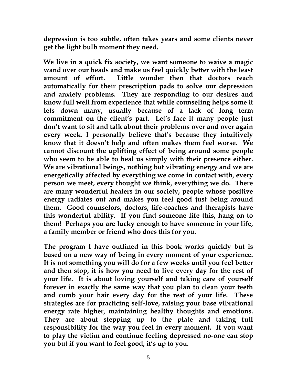**depression is too subtle, often takes years and some clients never get the light bulb moment they need.** 

**We live in a quick fix society, we want someone to waive a magic wand over our heads and make us feel quickly better with the least amount of effort. Little wonder then that doctors reach automatically for their prescription pads to solve our depression and anxiety problems. They are responding to our desires and know full well from experience that while counseling helps some it lets down many, usually because of a lack of long term commitment on the client's part. Let's face it many people just don't want to sit and talk about their problems over and over again every week. I personally believe that's because they intuitively know that it doesn't help and often makes them feel worse. We cannot discount the uplifting effect of being around some people who seem to be able to heal us simply with their presence either. We are vibrational beings, nothing but vibrating energy and we are energetically affected by everything we come in contact with, every person we meet, every thought we think, everything we do. There are many wonderful healers in our society, people whose positive energy radiates out and makes you feel good just being around them. Good counselors, doctors, life-coaches and therapists have this wonderful ability. If you find someone life this, hang on to them! Perhaps you are lucky enough to have someone in your life, a family member or friend who does this for you.**

**The program I have outlined in this book works quickly but is based on a new way of being in every moment of your experience. It is not something you will do for a few weeks until you feel better and then stop, it is how you need to live every day for the rest of your life. It is about loving yourself and taking care of yourself forever in exactly the same way that you plan to clean your teeth and comb your hair every day for the rest of your life. These strategies are for practicing self-love, raising your base vibrational energy rate higher, maintaining healthy thoughts and emotions. They are about stepping up to the plate and taking full responsibility for the way you feel in every moment. If you want to play the victim and continue feeling depressed no-one can stop you but if you want to feel good, it's up to you.**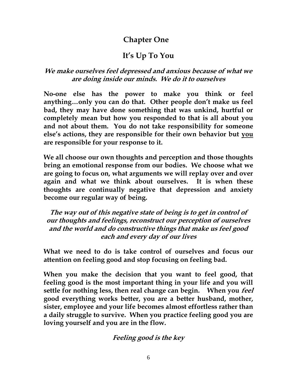## **Chapter One**

## **It's Up To You**

#### **We make ourselves feel depressed and anxious because of what we are doing inside our minds. We do it to ourselves**

**No-one else has the power to make you think or feel anything…only you can do that. Other people don't make us feel bad, they may have done something that was unkind, hurtful or completely mean but how you responded to that is all about you and not about them. You do not take responsibility for someone else's actions, they are responsible for their own behavior but you are responsible for your response to it.**

**We all choose our own thoughts and perception and those thoughts bring an emotional response from our bodies. We choose what we are going to focus on, what arguments we will replay over and over again and what we think about ourselves. It is when these thoughts are continually negative that depression and anxiety become our regular way of being.**

**The way out of this negative state of being is to get in control of our thoughts and feelings, reconstruct our perception of ourselves and the world and do constructive things that make us feel good each and every day of our lives**

**What we need to do is take control of ourselves and focus our attention on feeling good and stop focusing on feeling bad.**

**When you make the decision that you want to feel good, that feeling good is the most important thing in your life and you will settle for nothing less, then real change can begin. When you feel good everything works better, you are a better husband, mother, sister, employee and your life becomes almost effortless rather than a daily struggle to survive. When you practice feeling good you are loving yourself and you are in the flow.**

#### **Feeling good is the key**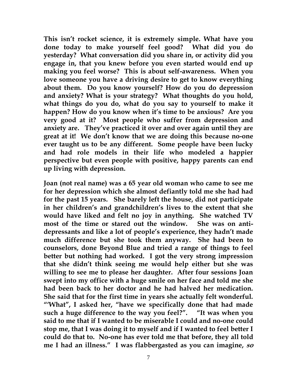**This isn't rocket science, it is extremely simple. What have you done today to make yourself feel good? What did you do yesterday? What conversation did you share in, or activity did you engage in, that you knew before you even started would end up making you feel worse? This is about self-awareness. When you love someone you have a driving desire to get to know everything about them. Do you know yourself? How do you do depression and anxiety? What is your strategy? What thoughts do you hold, what things do you do, what do you say to yourself to make it happen? How do you know when it's time to be anxious? Are you very good at it? Most people who suffer from depression and anxiety are. They've practiced it over and over again until they are great at it! We don't know that we are doing this because no-one ever taught us to be any different. Some people have been lucky and had role models in their life who modeled a happier perspective but even people with positive, happy parents can end up living with depression.**

**Joan (not real name) was a 65 year old woman who came to see me for her depression which she almost defiantly told me she had had for the past 15 years. She barely left the house, did not participate in her children's and grandchildren's lives to the extent that she would have liked and felt no joy in anything. She watched TV most of the time or stared out the window. She was on antidepressants and like a lot of people's experience, they hadn't made much difference but she took them anyway. She had been to counselors, done Beyond Blue and tried a range of things to feel better but nothing had worked. I got the very strong impression that she didn't think seeing me would help either but she was willing to see me to please her daughter. After four sessions Joan swept into my office with a huge smile on her face and told me she had been back to her doctor and he had halved her medication. She said that for the first time in years she actually felt wonderful. "'What", I asked her, "have we specifically done that had made such a huge difference to the way you feel?". "It was when you said to me that if I wanted to be miserable I could and no-one could stop me, that I was doing it to myself and if I wanted to feel better I could do that to. No-one has ever told me that before, they all told me I had an illness." I was flabbergasted as you can imagine, so**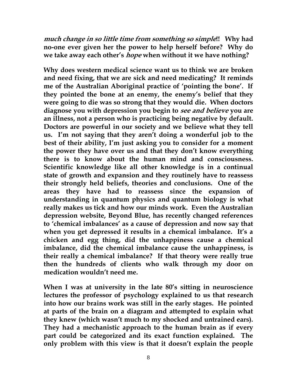**much change in so little time from something so simple!! Why had no-one ever given her the power to help herself before? Why do we take away each other's hope when without it we have nothing?**

**Why does western medical science want us to think we are broken and need fixing, that we are sick and need medicating? It reminds me of the Australian Aboriginal practice of 'pointing the bone'. If they pointed the bone at an enemy, the enemy's belief that they were going to die was so strong that they would die. When doctors diagnose you with depression you begin to see and believe you are an illness, not a person who is practicing being negative by default. Doctors are powerful in our society and we believe what they tell us. I'm not saying that they aren't doing a wonderful job to the best of their ability, I'm just asking you to consider for a moment the power they have over us and that they don't know everything there is to know about the human mind and consciousness. Scientific knowledge like all other knowledge is in a continual state of growth and expansion and they routinely have to reassess their strongly held beliefs, theories and conclusions. One of the areas they have had to reassess since the expansion of understanding in quantum physics and quantum biology is what really makes us tick and how our minds work. Even the Australian depression website, Beyond Blue, has recently changed references to 'chemical imbalances' as a cause of depression and now say that when you get depressed it results in a chemical imbalance. It's a chicken and egg thing, did the unhappiness cause a chemical imbalance, did the chemical imbalance cause the unhappiness, is their really a chemical imbalance? If that theory were really true then the hundreds of clients who walk through my door on medication wouldn't need me.**

**When I was at university in the late 80's sitting in neuroscience lectures the professor of psychology explained to us that research into how our brains work was still in the early stages. He pointed at parts of the brain on a diagram and attempted to explain what they knew (which wasn't much to my shocked and untrained ears). They had a mechanistic approach to the human brain as if every part could be categorized and its exact function explained. The only problem with this view is that it doesn't explain the people**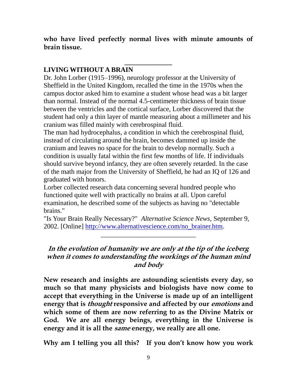**who have lived perfectly normal lives with minute amounts of brain tissue.** 

**\_\_\_\_\_\_\_\_\_\_\_\_\_\_**

#### **LIVING WITHOUT A BRAIN**

Dr. John Lorber (1915–1996), neurology professor at the University of Sheffield in the United Kingdom, recalled the time in the 1970s when the campus doctor asked him to examine a student whose head was a bit larger than normal. Instead of the normal 4.5-centimeter thickness of brain tissue between the ventricles and the cortical surface, Lorber discovered that the student had only a thin layer of mantle measuring about a millimeter and his cranium was filled mainly with cerebrospinal fluid.

The man had hydrocephalus, a condition in which the cerebrospinal fluid, instead of circulating around the brain, becomes dammed up inside the cranium and leaves no space for the brain to develop normally. Such a condition is usually fatal within the first few months of life. If individuals should survive beyond infancy, they are often severely retarded. In the case of the math major from the University of Sheffield, he had an IQ of 126 and graduated with honors.

Lorber collected research data concerning several hundred people who functioned quite well with practically no brains at all. Upon careful examination, he described some of the subjects as having no "detectable brains."

"Is Your Brain Really Necessary?" *Alternative Science News,* September 9, 2002. [Online] http://www.alternativescience.com/no\_brainer.htm.

\_\_\_\_\_\_\_\_\_\_\_\_\_\_\_\_\_\_\_\_\_\_\_\_\_\_\_\_

#### **In the evolution of humanity we are only at the tip of the iceberg when it comes to understanding the workings of the human mind and body**

**New research and insights are astounding scientists every day, so much so that many physicists and biologists have now come to accept that everything in the Universe is made up of an intelligent energy that is thought responsive and affected by our emotions and which some of them are now referring to as the Divine Matrix or God. We are all energy beings, everything in the Universe is energy and it is all the same energy, we really are all one.**

**Why am I telling you all this? If you don't know how you work**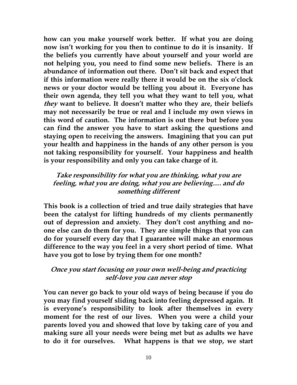**how can you make yourself work better. If what you are doing now isn't working for you then to continue to do it is insanity. If the beliefs you currently have about yourself and your world are not helping you, you need to find some new beliefs. There is an abundance of information out there. Don't sit back and expect that if this information were really there it would be on the six o'clock news or your doctor would be telling you about it. Everyone has their own agenda, they tell you what they want to tell you, what they want to believe. It doesn't matter who they are, their beliefs may not necessarily be true or real and I include my own views in this word of caution. The information is out there but before you can find the answer you have to start asking the questions and staying open to receiving the answers. Imagining that you can put your health and happiness in the hands of any other person is you not taking responsibility for yourself. Your happiness and health is your responsibility and only you can take charge of it.** 

#### **Take responsibility for what you are thinking, what you are feeling, what you are doing, what you are believing…. and do something different**

**This book is a collection of tried and true daily strategies that have been the catalyst for lifting hundreds of my clients permanently out of depression and anxiety. They don't cost anything and noone else can do them for you. They are simple things that you can do for yourself every day that I guarantee will make an enormous difference to the way you feel in a very short period of time. What have you got to lose by trying them for one month?**

#### **Once you start focusing on your own well-being and practicing self-love you can never stop**

**You can never go back to your old ways of being because if you do you may find yourself sliding back into feeling depressed again. It is everyone's responsibility to look after themselves in every moment for the rest of our lives. When you were a child your parents loved you and showed that love by taking care of you and making sure all your needs were being met but as adults we have to do it for ourselves. What happens is that we stop, we start**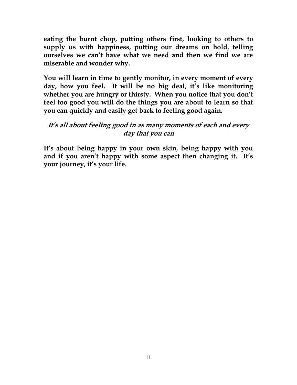**eating the burnt chop, putting others first, looking to others to supply us with happiness, putting our dreams on hold, telling ourselves we can't have what we need and then we find we are miserable and wonder why.**

**You will learn in time to gently monitor, in every moment of every day, how you feel. It will be no big deal, it's like monitoring whether you are hungry or thirsty. When you notice that you don't feel too good you will do the things you are about to learn so that you can quickly and easily get back to feeling good again.** 

#### **It's all about feeling good in as many moments of each and every day that you can**

**It's about being happy in your own skin, being happy with you and if you aren't happy with some aspect then changing it. It's your journey, it's your life.**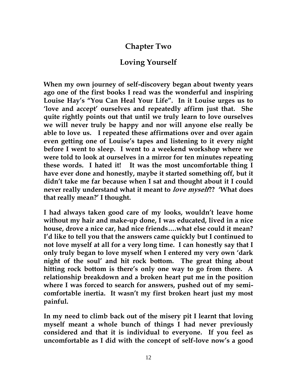## **Chapter Two**

## **Loving Yourself**

**When my own journey of self-discovery began about twenty years ago one of the first books I read was the wonderful and inspiring Louise Hay's "You Can Heal Your Life". In it Louise urges us to 'love and accept' ourselves and repeatedly affirm just that. She quite rightly points out that until we truly learn to love ourselves we will never truly be happy and nor will anyone else really be able to love us. I repeated these affirmations over and over again even getting one of Louise's tapes and listening to it every night before I went to sleep. I went to a weekend workshop where we were told to look at ourselves in a mirror for ten minutes repeating these words. I hated it! It was the most uncomfortable thing I have ever done and honestly, maybe it started something off, but it didn't take me far because when I sat and thought about it I could never really understand what it meant to love myself?? 'What does that really mean?' I thought.**

**I had always taken good care of my looks, wouldn't leave home without my hair and make-up done, I was educated, lived in a nice house, drove a nice car, had nice friends….what else could it mean? I'd like to tell you that the answers came quickly but I continued to not love myself at all for a very long time. I can honestly say that I only truly began to love myself when I entered my very own 'dark night of the soul' and hit rock bottom. The great thing about hitting rock bottom is there's only one way to go from there. A relationship breakdown and a broken heart put me in the position where I was forced to search for answers, pushed out of my semicomfortable inertia. It wasn't my first broken heart just my most painful.**

**In my need to climb back out of the misery pit I learnt that loving myself meant a whole bunch of things I had never previously considered and that it is individual to everyone. If you feel as uncomfortable as I did with the concept of self-love now's a good**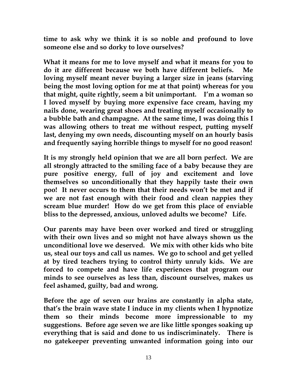**time to ask why we think it is so noble and profound to love someone else and so dorky to love ourselves?**

**What it means for me to love myself and what it means for you to do it are different because we both have different beliefs. Me loving myself meant never buying a larger size in jeans (starving being the most loving option for me at that point) whereas for you that might, quite rightly, seem a bit unimportant. I'm a woman so I loved myself by buying more expensive face cream, having my nails done, wearing great shoes and treating myself occasionally to a bubble bath and champagne. At the same time, I was doing this I was allowing others to treat me without respect, putting myself last, denying my own needs, discounting myself on an hourly basis and frequently saying horrible things to myself for no good reason!**

**It is my strongly held opinion that we are all born perfect. We are all strongly attracted to the smiling face of a baby because they are pure positive energy, full of joy and excitement and love themselves so unconditionally that they happily taste their own poo! It never occurs to them that their needs won't be met and if we are not fast enough with their food and clean nappies they scream blue murder! How do we get from this place of enviable bliss to the depressed, anxious, unloved adults we become? Life.**

**Our parents may have been over worked and tired or struggling with their own lives and so might not have always shown us the unconditional love we deserved. We mix with other kids who bite us, steal our toys and call us names. We go to school and get yelled at by tired teachers trying to control thirty unruly kids. We are forced to compete and have life experiences that program our minds to see ourselves as less than, discount ourselves, makes us feel ashamed, guilty, bad and wrong.**

**Before the age of seven our brains are constantly in alpha state, that's the brain wave state I induce in my clients when I hypnotize them so their minds become more impressionable to my suggestions. Before age seven we are like little sponges soaking up everything that is said and done to us indiscriminately. There is no gatekeeper preventing unwanted information going into our**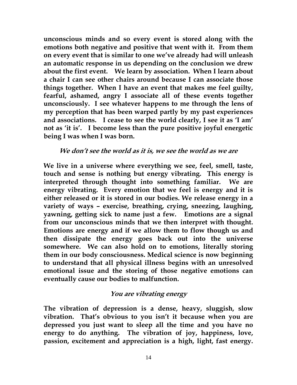**unconscious minds and so every event is stored along with the emotions both negative and positive that went with it. From them on every event that is similar to one we've already had will unleash an automatic response in us depending on the conclusion we drew about the first event. We learn by association. When I learn about a chair I can see other chairs around because I can associate those things together. When I have an event that makes me feel guilty, fearful, ashamed, angry I associate all of these events together unconsciously. I see whatever happens to me through the lens of my perception that has been warped partly by my past experiences and associations. I cease to see the world clearly, I see it as 'I am' not as 'it is'. I become less than the pure positive joyful energetic being I was when I was born.**

#### **We don't see the world as it is, we see the world as we are**

**We live in a universe where everything we see, feel, smell, taste, touch and sense is nothing but energy vibrating. This energy is interpreted through thought into something familiar. We are energy vibrating. Every emotion that we feel is energy and it is either released or it is stored in our bodies. We release energy in a variety of ways – exercise, breathing, crying, sneezing, laughing, yawning, getting sick to name just a few. Emotions are a signal from our unconscious minds that we then interpret with thought. Emotions are energy and if we allow them to flow though us and then dissipate the energy goes back out into the universe somewhere. We can also hold on to emotions, literally storing them in our body consciousness. Medical science is now beginning to understand that all physical illness begins with an unresolved emotional issue and the storing of those negative emotions can eventually cause our bodies to malfunction.**

#### **You are vibrating energy**

**The vibration of depression is a dense, heavy, sluggish, slow vibration. That's obvious to you isn't it because when you are depressed you just want to sleep all the time and you have no energy to do anything. The vibration of joy, happiness, love, passion, excitement and appreciation is a high, light, fast energy.**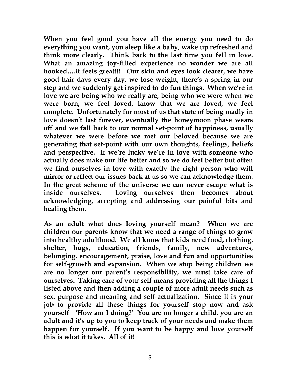**When you feel good you have all the energy you need to do everything you want, you sleep like a baby, wake up refreshed and think more clearly. Think back to the last time you fell in love. What an amazing joy-filled experience no wonder we are all hooked….it feels great!!! Our skin and eyes look clearer, we have good hair days every day, we lose weight, there's a spring in our step and we suddenly get inspired to do fun things. When we're in love we are being who we really are, being who we were when we were born, we feel loved, know that we are loved, we feel complete. Unfortunately for most of us that state of being madly in love doesn't last forever, eventually the honeymoon phase wears off and we fall back to our normal set-point of happiness, usually whatever we were before we met our beloved because we are generating that set-point with our own thoughts, feelings, beliefs and perspective. If we're lucky we're in love with someone who actually does make our life better and so we do feel better but often we find ourselves in love with exactly the right person who will mirror or reflect our issues back at us so we can acknowledge them. In the great scheme of the universe we can never escape what is inside ourselves. Loving ourselves then becomes about acknowledging, accepting and addressing our painful bits and healing them.**

**As an adult what does loving yourself mean? When we are children our parents know that we need a range of things to grow into healthy adulthood. We all know that kids need food, clothing, shelter, hugs, education, friends, family, new adventures, belonging, encouragement, praise, love and fun and opportunities for self-growth and expansion. When we stop being children we are no longer our parent's responsibility, we must take care of ourselves. Taking care of your self means providing all the things I listed above and then adding a couple of more adult needs such as sex, purpose and meaning and self-actualization. Since it is your job to provide all these things for yourself stop now and ask yourself 'How am I doing?' You are no longer a child, you are an adult and it's up to you to keep track of your needs and make them happen for yourself. If you want to be happy and love yourself this is what it takes. All of it!**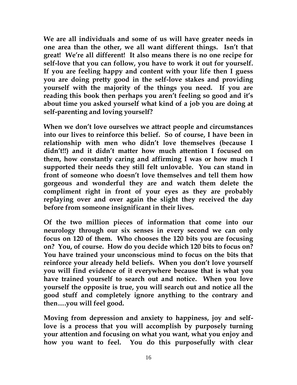**We are all individuals and some of us will have greater needs in one area than the other, we all want different things. Isn't that great! We're all different! It also means there is no one recipe for self-love that you can follow, you have to work it out for yourself. If you are feeling happy and content with your life then I guess you are doing pretty good in the self-love stakes and providing yourself with the majority of the things you need. If you are reading this book then perhaps you aren't feeling so good and it's about time you asked yourself what kind of a job you are doing at self-parenting and loving yourself?**

**When we don't love ourselves we attract people and circumstances into our lives to reinforce this belief. So of course, I have been in relationship with men who didn't love themselves (because I didn't!!) and it didn't matter how much attention I focused on them, how constantly caring and affirming I was or how much I supported their needs they still felt unlovable. You can stand in front of someone who doesn't love themselves and tell them how gorgeous and wonderful they are and watch them delete the compliment right in front of your eyes as they are probably replaying over and over again the slight they received the day before from someone insignificant in their lives.**

**Of the two million pieces of information that come into our neurology through our six senses in every second we can only focus on 120 of them. Who chooses the 120 bits you are focusing on? You, of course. How do you decide which 120 bits to focus on? You have trained your unconscious mind to focus on the bits that reinforce your already held beliefs. When you don't love yourself you will find evidence of it everywhere because that is what you have trained yourself to search out and notice. When you love yourself the opposite is true, you will search out and notice all the good stuff and completely ignore anything to the contrary and then….you will feel good.**

**Moving from depression and anxiety to happiness, joy and selflove is a process that you will accomplish by purposely turning your attention and focusing on what you want, what you enjoy and how you want to feel. You do this purposefully with clear**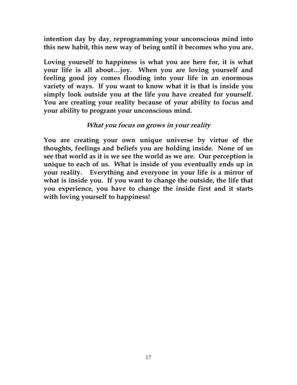**intention day by day, reprogramming your unconscious mind into this new habit, this new way of being until it becomes who you are.**

**Loving yourself to happiness is what you are here for, it is what your life is all about…joy. When you are loving yourself and feeling good joy comes flooding into your life in an enormous variety of ways. If you want to know what it is that is inside you simply look outside you at the life you have created for yourself. You are creating your reality because of your ability to focus and your ability to program your unconscious mind.** 

#### **What you focus on grows in your reality**

**You are creating your own unique universe by virtue of the thoughts, feelings and beliefs you are holding inside. None of us see that world as it is we see the world as we are. Our perception is unique to each of us. What is inside of you eventually ends up in your reality. Everything and everyone in your life is a mirror of what is inside you. If you want to change the outside, the life that you experience, you have to change the inside first and it starts with loving yourself to happiness!**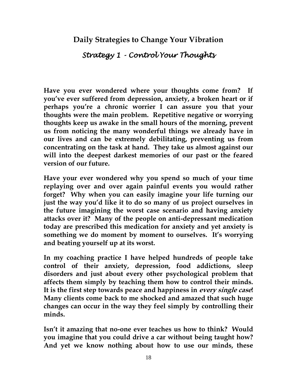#### **Daily Strategies to Change Your Vibration**

## *Strategy 1 - Control Your Thoughts*

**Have you ever wondered where your thoughts come from? If you've ever suffered from depression, anxiety, a broken heart or if perhaps you're a chronic worrier I can assure you that your thoughts were the main problem. Repetitive negative or worrying thoughts keep us awake in the small hours of the morning, prevent us from noticing the many wonderful things we already have in our lives and can be extremely debilitating, preventing us from concentrating on the task at hand. They take us almost against our will into the deepest darkest memories of our past or the feared version of our future.**

**Have your ever wondered why you spend so much of your time replaying over and over again painful events you would rather forget? Why when you can easily imagine your life turning our just the way you'd like it to do so many of us project ourselves in the future imagining the worst case scenario and having anxiety attacks over it? Many of the people on anti-depressant medication today are prescribed this medication for anxiety and yet anxiety is something we do moment by moment to ourselves. It's worrying and beating yourself up at its worst.**

**In my coaching practice I have helped hundreds of people take control of their anxiety, depression, food addictions, sleep disorders and just about every other psychological problem that affects them simply by teaching them how to control their minds. It is the first step towards peace and happiness in every single case! Many clients come back to me shocked and amazed that such huge changes can occur in the way they feel simply by controlling their minds.**

**Isn't it amazing that no-one ever teaches us how to think? Would you imagine that you could drive a car without being taught how? And yet we know nothing about how to use our minds, these**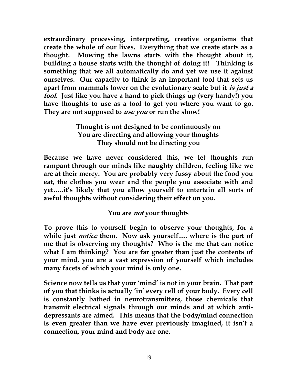**extraordinary processing, interpreting, creative organisms that create the whole of our lives. Everything that we create starts as a thought. Mowing the lawns starts with the thought about it, building a house starts with the thought of doing it! Thinking is something that we all automatically do and yet we use it against ourselves. Our capacity to think is an important tool that sets us apart from mammals lower on the evolutionary scale but it is just a tool. Just like you have a hand to pick things up (very handy!) you have thoughts to use as a tool to get you where you want to go. They are not supposed to use you or run the show!**

#### **Thought is not designed to be continuously on You are directing and allowing your thoughts They should not be directing you**

**Because we have never considered this, we let thoughts run rampant through our minds like naughty children, feeling like we are at their mercy. You are probably very fussy about the food you eat, the clothes you wear and the people you associate with and yet…..it's likely that you allow yourself to entertain all sorts of awful thoughts without considering their effect on you.**

#### **You are not your thoughts**

**To prove this to yourself begin to observe your thoughts, for a while just notice them. Now ask yourself…. where is the part of me that is observing my thoughts? Who is the me that can notice what I am thinking? You are far greater than just the contents of your mind, you are a vast expression of yourself which includes many facets of which your mind is only one.**

**Science now tells us that your 'mind' is not in your brain. That part of you that thinks is actually 'in' every cell of your body. Every cell is constantly bathed in neurotransmitters, those chemicals that transmit electrical signals through our minds and at which antidepressants are aimed. This means that the body/mind connection is even greater than we have ever previously imagined, it isn't a connection, your mind and body are one.**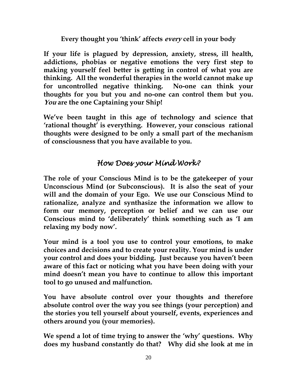#### **Every thought you 'think' affects every cell in your body**

**If your life is plagued by depression, anxiety, stress, ill health, addictions, phobias or negative emotions the very first step to making yourself feel better is getting in control of what you are thinking. All the wonderful therapies in the world cannot make up for uncontrolled negative thinking. No-one can think your thoughts for you but you and no-one can control them but you. You are the one Captaining your Ship!**

**We've been taught in this age of technology and science that 'rational thought' is everything. However, your conscious rational thoughts were designed to be only a small part of the mechanism of consciousness that you have available to you.** 

## *How Does your Mind Work?*

**The role of your Conscious Mind is to be the gatekeeper of your Unconscious Mind (or Subconscious). It is also the seat of your will and the domain of your Ego. We use our Conscious Mind to rationalize, analyze and synthasize the information we allow to form our memory, perception or belief and we can use our Conscious mind to 'deliberately' think something such as 'I am relaxing my body now'.** 

**Your mind is a tool you use to control your emotions, to make choices and decisions and to create your reality. Your mind is under your control and does your bidding. Just because you haven't been aware of this fact or noticing what you have been doing with your mind doesn't mean you have to continue to allow this important tool to go unused and malfunction.**

**You have absolute control over your thoughts and therefore absolute control over the way you see things (your perception) and the stories you tell yourself about yourself, events, experiences and others around you (your memories).** 

**We spend a lot of time trying to answer the 'why' questions. Why does my husband constantly do that? Why did she look at me in**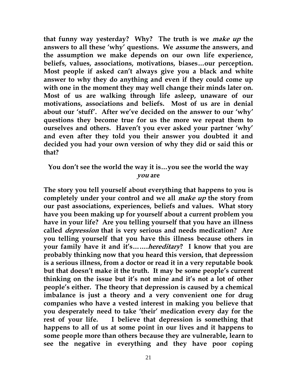**that funny way yesterday? Why? The truth is we make up the answers to all these 'why' questions. We assume the answers, and the assumption we make depends on our own life experience, beliefs, values, associations, motivations, biases…our perception. Most people if asked can't always give you a black and white answer to why they do anything and even if they could come up with one in the moment they may well change their minds later on. Most of us are walking through life asleep, unaware of our motivations, associations and beliefs. Most of us are in denial about our 'stuff'. After we've decided on the answer to our 'why' questions they become true for us the more we repeat them to ourselves and others. Haven't you ever asked your partner 'why' and even after they told you their answer you doubted it and decided you had your own version of why they did or said this or that?**

#### **You don't see the world the way it is…you see the world the way you are**

**The story you tell yourself about everything that happens to you is completely under your control and we all make up the story from our past associations, experiences, beliefs and values. What story have you been making up for yourself about a current problem you have in your life? Are you telling yourself that you have an illness called depression that is very serious and needs medication? Are you telling yourself that you have this illness because others in your family have it and it's…….hereditary? I know that you are probably thinking now that you heard this version, that depression is a serious illness, from a doctor or read it in a very reputable book but that doesn't make it the truth. It may be some people's current thinking on the issue but it's not mine and it's not a lot of other people's either. The theory that depression is caused by a chemical imbalance is just a theory and a very convenient one for drug companies who have a vested interest in making you believe that you desperately need to take 'their' medication every day for the rest of your life. I believe that depression is something that happens to all of us at some point in our lives and it happens to some people more than others because they are vulnerable, learn to see the negative in everything and they have poor coping**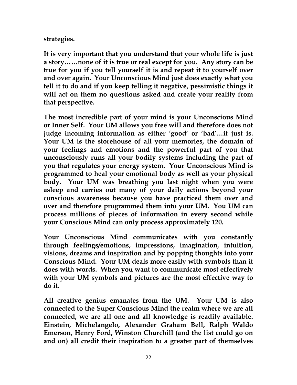#### **strategies.**

**It is very important that you understand that your whole life is just a story……none of it is true or real except for you. Any story can be true for you if you tell yourself it is and repeat it to yourself over and over again. Your Unconscious Mind just does exactly what you tell it to do and if you keep telling it negative, pessimistic things it will act on them no questions asked and create your reality from that perspective.**

**The most incredible part of your mind is your Unconscious Mind or Inner Self. Your UM allows you free will and therefore does not judge incoming information as either 'good' or 'bad'…it just is. Your UM is the storehouse of all your memories, the domain of your feelings and emotions and the powerful part of you that unconsciously runs all your bodily systems including the part of you that regulates your energy system. Your Unconscious Mind is programmed to heal your emotional body as well as your physical body. Your UM was breathing you last night when you were asleep and carries out many of your daily actions beyond your conscious awareness because you have practiced them over and over and therefore programmed them into your UM. You UM can process millions of pieces of information in every second while your Conscious Mind can only process approximately 120.**

**Your Unconscious Mind communicates with you constantly through feelings/emotions, impressions, imagination, intuition, visions, dreams and inspiration and by popping thoughts into your Conscious Mind. Your UM deals more easily with symbols than it does with words. When you want to communicate most effectively with your UM symbols and pictures are the most effective way to do it.** 

**All creative genius emanates from the UM. Your UM is also connected to the Super Conscious Mind the realm where we are all connected, we are all one and all knowledge is readily available. Einstein, Michelangelo, Alexander Graham Bell, Ralph Waldo Emerson, Henry Ford, Winston Churchill (and the list could go on and on) all credit their inspiration to a greater part of themselves**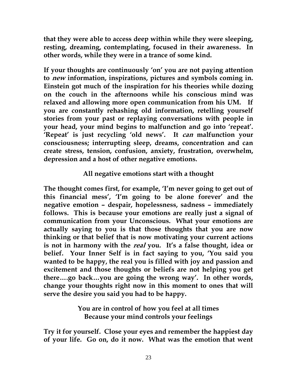**that they were able to access deep within while they were sleeping, resting, dreaming, contemplating, focused in their awareness. In other words, while they were in a trance of some kind.** 

**If your thoughts are continuously 'on' you are not paying attention to new information, inspirations, pictures and symbols coming in. Einstein got much of the inspiration for his theories while dozing on the couch in the afternoons while his conscious mind was relaxed and allowing more open communication from his UM. If you are constantly rehashing old information, retelling yourself stories from your past or replaying conversations with people in your head, your mind begins to malfunction and go into 'repeat'. 'Repeat' is just recycling 'old news'. It can malfunction your consciousness; interrupting sleep, dreams, concentration and can create stress, tension, confusion, anxiety, frustration, overwhelm, depression and a host of other negative emotions.** 

#### **All negative emotions start with a thought**

**The thought comes first, for example, 'I'm never going to get out of this financial mess', 'I'm going to be alone forever' and the negative emotion – despair, hopelessness, sadness – immediately follows. This is because your emotions are really just a signal of communication from your Unconscious. What your emotions are actually saying to you is that those thoughts that you are now thinking or that belief that is now motivating your current actions is not in harmony with the real you. It's a false thought, idea or belief. Your Inner Self is in fact saying to you, 'You said you wanted to be happy, the real you is filled with joy and passion and excitement and those thoughts or beliefs are not helping you get there….go back…you are going the wrong way'. In other words, change your thoughts right now in this moment to ones that will serve the desire you said you had to be happy.**

> **You are in control of how you feel at all times Because your mind controls your feelings**

**Try it for yourself. Close your eyes and remember the happiest day of your life. Go on, do it now. What was the emotion that went**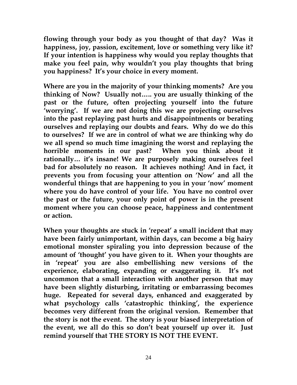**flowing through your body as you thought of that day? Was it happiness, joy, passion, excitement, love or something very like it? If your intention is happiness why would you replay thoughts that make you feel pain, why wouldn't you play thoughts that bring you happiness? It's your choice in every moment.** 

**Where are you in the majority of your thinking moments? Are you thinking of Now? Usually not….. you are usually thinking of the past or the future, often projecting yourself into the future 'worrying'. If we are not doing this we are projecting ourselves into the past replaying past hurts and disappointments or berating ourselves and replaying our doubts and fears. Why do we do this to ourselves? If we are in control of what we are thinking why do we all spend so much time imagining the worst and replaying the horrible moments in our past? When you think about it rationally… it's insane! We are purposely making ourselves feel bad for absolutely no reason. It achieves nothing! And in fact, it prevents you from focusing your attention on 'Now' and all the wonderful things that are happening to you in your 'now' moment where you do have control of your life. You have no control over the past or the future, your only point of power is in the present moment where you can choose peace, happiness and contentment or action.**

**When your thoughts are stuck in 'repeat' a small incident that may have been fairly unimportant, within days, can become a big hairy emotional monster spiraling you into depression because of the amount of 'thought' you have given to it. When your thoughts are in 'repeat' you are also embellishing new versions of the experience, elaborating, expanding or exaggerating it. It's not uncommon that a small interaction with another person that may have been slightly disturbing, irritating or embarrassing becomes huge. Repeated for several days, enhanced and exaggerated by what psychology calls 'catastrophic thinking', the experience becomes very different from the original version. Remember that the story is not the event. The story is your biased interpretation of the event, we all do this so don't beat yourself up over it. Just remind yourself that THE STORY IS NOT THE EVENT.**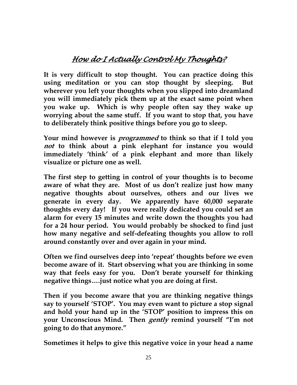## *How do I Actually Control My Thoughts?*

**It is very difficult to stop thought. You can practice doing this using meditation or you can stop thought by sleeping. But wherever you left your thoughts when you slipped into dreamland you will immediately pick them up at the exact same point when you wake up. Which is why people often say they wake up worrying about the same stuff. If you want to stop that, you have to deliberately think positive things before you go to sleep.**

**Your mind however is programmed to think so that if I told you not to think about a pink elephant for instance you would immediately 'think' of a pink elephant and more than likely visualize or picture one as well.**

**The first step to getting in control of your thoughts is to become aware of what they are. Most of us don't realize just how many negative thoughts about ourselves, others and our lives we generate in every day. We apparently have 60,000 separate thoughts every day! If you were really dedicated you could set an alarm for every 15 minutes and write down the thoughts you had for a 24 hour period. You would probably be shocked to find just how many negative and self-defeating thoughts you allow to roll around constantly over and over again in your mind.**

**Often we find ourselves deep into 'repeat' thoughts before we even become aware of it. Start observing what you are thinking in some way that feels easy for you. Don't berate yourself for thinking negative things….just notice what you are doing at first.**

**Then if you become aware that you are thinking negative things say to yourself 'STOP'. You may even want to picture a stop signal and hold your hand up in the 'STOP' position to impress this on your Unconscious Mind. Then gently remind yourself "I'm not going to do that anymore."**

**Sometimes it helps to give this negative voice in your head a name**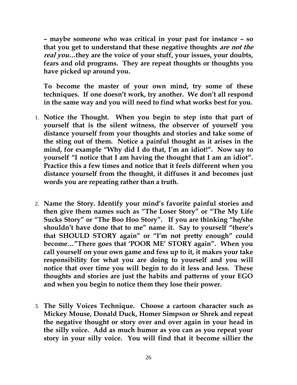**– maybe someone who was critical in your past for instance – so that you get to understand that these negative thoughts are not the real you…they are the voice of your stuff, your issues, your doubts, fears and old programs. They are repeat thoughts or thoughts you have picked up around you.**

**To become the master of your own mind, try some of these techniques. If one doesn't work, try another. We don't all respond in the same way and you will need to find what works best for you.**

- 1. **Notice the Thought. When you begin to step into that part of yourself that is the silent witness, the observer of yourself you distance yourself from your thoughts and stories and take some of the sting out of them. Notice a painful thought as it arises in the mind, for example "Why did I do that, I'm an idiot!". Now say to yourself "I notice that I am having the thought that I am an idiot". Practice this a few times and notice that it feels different when you distance yourself from the thought, it diffuses it and becomes just words you are repeating rather than a truth.**
- 2. **Name the Story. Identify your mind's favorite painful stories and then give them names such as "The Loser Story" or "The My Life Sucks Story" or "The Boo Hoo Story". If you are thinking "he/she shouldn't have done that to me" name it. Say to yourself "there's that SHOULD STORY again" or "I'm not pretty enough" could become…"There goes that 'POOR ME' STORY again". When you call yourself on your own game and fess up to it, it makes your take responsibility for what you are doing to yourself and you will notice that over time you will begin to do it less and less. These thoughts and stories are just the habits and patterns of your EGO and when you begin to notice them they lose their power.**
- 3. **The Silly Voices Technique. Choose a cartoon character such as Mickey Mouse, Donald Duck, Homer Simpson or Shrek and repeat the negative thought or story over and over again in your head in the silly voice. Add as much humor as you can as you repeat your story in your silly voice. You will find that it become sillier the**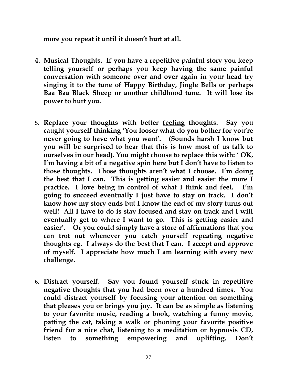**more you repeat it until it doesn't hurt at all.**

- **4. Musical Thoughts. If you have a repetitive painful story you keep telling yourself or perhaps you keep having the same painful conversation with someone over and over again in your head try singing it to the tune of Happy Birthday, Jingle Bells or perhaps Baa Baa Black Sheep or another childhood tune. It will lose its power to hurt you.**
- 5. **Replace your thoughts with better feeling thoughts. Say you caught yourself thinking 'You looser what do you bother for you're never going to have what you want'. (Sounds harsh I know but you will be surprised to hear that this is how most of us talk to ourselves in our head). You might choose to replace this with: ' OK, I'm having a bit of a negative spin here but I don't have to listen to those thoughts. Those thoughts aren't what I choose. I'm doing the best that I can. This is getting easier and easier the more I practice. I love being in control of what I think and feel. I'm going to succeed eventually I just have to stay on track. I don't know how my story ends but I know the end of my story turns out well! All I have to do is stay focused and stay on track and I will eventually get to where I want to go. This is getting easier and easier'. Or you could simply have a store of affirmations that you can trot out whenever you catch yourself repeating negative thoughts eg. I always do the best that I can. I accept and approve of myself. I appreciate how much I am learning with every new challenge.**
- 6. **Distract yourself. Say you found yourself stuck in repetitive negative thoughts that you had been over a hundred times. You could distract yourself by focusing your attention on something that pleases you or brings you joy. It can be as simple as listening to your favorite music, reading a book, watching a funny movie, patting the cat, taking a walk or phoning your favorite positive friend for a nice chat, listening to a meditation or hypnosis CD, listen to something empowering and uplifting. Don't**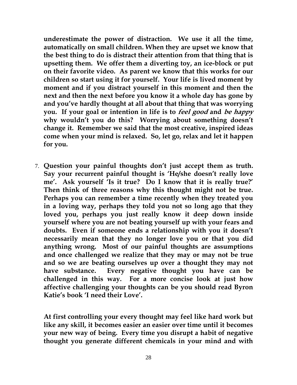**underestimate the power of distraction. We use it all the time, automatically on small children. When they are upset we know that the best thing to do is distract their attention from that thing that is upsetting them. We offer them a diverting toy, an ice-block or put on their favorite video. As parent we know that this works for our children so start using it for yourself. Your life is lived moment by moment and if you distract yourself in this moment and then the next and then the next before you know it a whole day has gone by and you've hardly thought at all about that thing that was worrying you. If your goal or intention in life is to feel good and be happy why wouldn't you do this? Worrying about something doesn't change it. Remember we said that the most creative, inspired ideas come when your mind is relaxed. So, let go, relax and let it happen for you.** 

7. **Question your painful thoughts don't just accept them as truth. Say your recurrent painful thought is 'He/she doesn't really love me'. Ask yourself 'Is it true? Do I know that it is really true?' Then think of three reasons why this thought might not be true. Perhaps you can remember a time recently when they treated you in a loving way, perhaps they told you not so long ago that they loved you, perhaps you just really know it deep down inside yourself where you are not beating yourself up with your fears and doubts. Even if someone ends a relationship with you it doesn't necessarily mean that they no longer love you or that you did anything wrong. Most of our painful thoughts are assumptions and once challenged we realize that they may or may not be true and so we are beating ourselves up over a thought they may not have substance. Every negative thought you have can be challenged in this way. For a more concise look at just how affective challenging your thoughts can be you should read Byron Katie's book 'I need their Love'.**

**At first controlling your every thought may feel like hard work but like any skill, it becomes easier an easier over time until it becomes your new way of being. Every time you disrupt a habit of negative thought you generate different chemicals in your mind and with**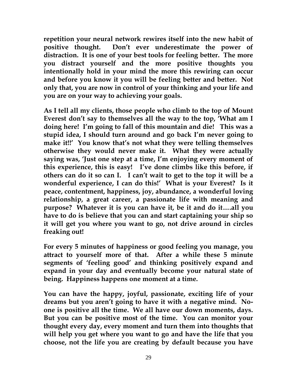**repetition your neural network rewires itself into the new habit of positive thought. Don't ever underestimate the power of distraction. It is one of your best tools for feeling better. The more you distract yourself and the more positive thoughts you intentionally hold in your mind the more this rewiring can occur and before you know it you will be feeling better and better. Not only that, you are now in control of your thinking and your life and you are on your way to achieving your goals.**

**As I tell all my clients, those people who climb to the top of Mount Everest don't say to themselves all the way to the top, 'What am I doing here! I'm going to fall of this mountain and die! This was a stupid idea, I should turn around and go back I'm never going to make it!!' You know that's not what they were telling themselves otherwise they would never make it. What they were actually saying was, 'Just one step at a time, I'm enjoying every moment of this experience, this is easy! I've done climbs like this before, if others can do it so can I. I can't wait to get to the top it will be a wonderful experience, I can do this!' What is your Everest? Is it peace, contentment, happiness, joy, abundance, a wonderful loving relationship, a great career, a passionate life with meaning and purpose? Whatever it is you can have it, be it and do it….all you have to do is believe that you can and start captaining your ship so it will get you where you want to go, not drive around in circles freaking out!**

**For every 5 minutes of happiness or good feeling you manage, you attract to yourself more of that. After a while these 5 minute segments of 'feeling good' and thinking positively expand and expand in your day and eventually become your natural state of being. Happiness happens one moment at a time.**

**You can have the happy, joyful, passionate, exciting life of your dreams but you aren't going to have it with a negative mind. Noone is positive all the time. We all have our down moments, days. But you can be positive most of the time. You can monitor your thought every day, every moment and turn them into thoughts that will help you get where you want to go and have the life that you choose, not the life you are creating by default because you have**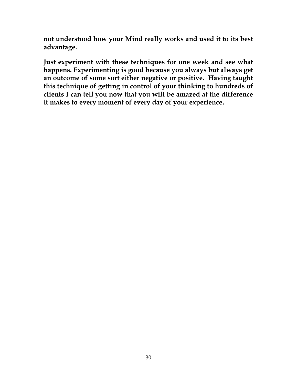**not understood how your Mind really works and used it to its best advantage.** 

**Just experiment with these techniques for one week and see what happens. Experimenting is good because you always but always get an outcome of some sort either negative or positive. Having taught this technique of getting in control of your thinking to hundreds of clients I can tell you now that you will be amazed at the difference it makes to every moment of every day of your experience.**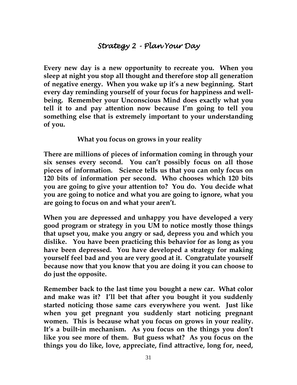## *Strategy 2 - Plan Your Day*

**Every new day is a new opportunity to recreate you. When you sleep at night you stop all thought and therefore stop all generation of negative energy. When you wake up it's a new beginning. Start every day reminding yourself of your focus for happiness and wellbeing. Remember your Unconscious Mind does exactly what you tell it to and pay attention now because I'm going to tell you something else that is extremely important to your understanding of you.**

**What you focus on grows in your reality**

**There are millions of pieces of information coming in through your six senses every second. You can't possibly focus on all those pieces of information. Science tells us that you can only focus on 120 bits of information per second. Who chooses which 120 bits you are going to give your attention to? You do. You decide what you are going to notice and what you are going to ignore, what you are going to focus on and what your aren't.** 

**When you are depressed and unhappy you have developed a very good program or strategy in you UM to notice mostly those things that upset you, make you angry or sad, depress you and which you dislike. You have been practicing this behavior for as long as you have been depressed. You have developed a strategy for making yourself feel bad and you are very good at it. Congratulate yourself because now that you know that you are doing it you can choose to do just the opposite.**

**Remember back to the last time you bought a new car. What color and make was it? I'll bet that after you bought it you suddenly started noticing those same cars everywhere you went. Just like when you get pregnant you suddenly start noticing pregnant women. This is because what you focus on grows in your reality. It's a built-in mechanism. As you focus on the things you don't like you see more of them. But guess what? As you focus on the things you do like, love, appreciate, find attractive, long for, need,**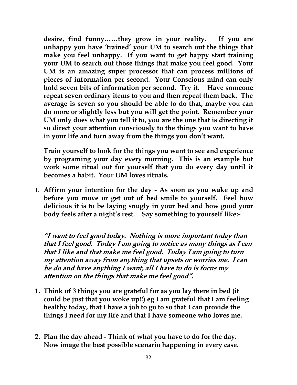**desire, find funny……they grow in your reality. If you are unhappy you have 'trained' your UM to search out the things that make you feel unhappy. If you want to get happy start training your UM to search out those things that make you feel good. Your UM is an amazing super processor that can process millions of pieces of information per second. Your Conscious mind can only hold seven bits of information per second. Try it. Have someone repeat seven ordinary items to you and then repeat them back. The average is seven so you should be able to do that, maybe you can do more or slightly less but you will get the point. Remember your UM only does what you tell it to, you are the one that is directing it so direct your attention consciously to the things you want to have in your life and turn away from the things you don't want.** 

**Train yourself to look for the things you want to see and experience by programing your day every morning. This is an example but work some ritual out for yourself that you do every day until it becomes a habit. Your UM loves rituals.**

1. **Affirm your intention for the day - As soon as you wake up and before you move or get out of bed smile to yourself. Feel how delicious it is to be laying snugly in your bed and how good your body feels after a night's rest. Say something to yourself like:-**

**"I want to feel good today. Nothing is more important today than that I feel good. Today I am going to notice as many things as I can that I like and that make me feel good. Today I am going to turn my attention away from anything that upsets or worries me. I can be do and have anything I want, all I have to do is focus my attention on the things that make me feel good".**

- **1. Think of 3 things you are grateful for as you lay there in bed (it could be just that you woke up!!) eg I am grateful that I am feeling healthy today, that I have a job to go to so that I can provide the things I need for my life and that I have someone who loves me.**
- **2. Plan the day ahead - Think of what you have to do for the day. Now image the best possible scenario happening in every case.**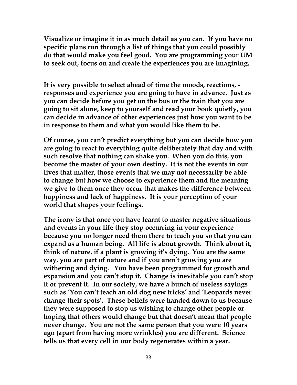**Visualize or imagine it in as much detail as you can. If you have no specific plans run through a list of things that you could possibly do that would make you feel good. You are programming your UM to seek out, focus on and create the experiences you are imagining.** 

**It is very possible to select ahead of time the moods, reactions, responses and experience you are going to have in advance. Just as you can decide before you get on the bus or the train that you are going to sit alone, keep to yourself and read your book quietly, you can decide in advance of other experiences just how you want to be in response to them and what you would like them to be.** 

**Of course, you can't predict everything but you can decide how you are going to react to everything quite deliberately that day and with such resolve that nothing can shake you. When you do this, you become the master of your own destiny. It is not the events in our lives that matter, those events that we may not necessarily be able to change but how we choose to experience them and the meaning we give to them once they occur that makes the difference between happiness and lack of happiness. It is your perception of your world that shapes your feelings.**

**The irony is that once you have learnt to master negative situations and events in your life they stop occurring in your experience because you no longer need them there to teach you so that you can expand as a human being. All life is about growth. Think about it, think of nature, if a plant is growing it's dying. You are the same way, you are part of nature and if you aren't growing you are withering and dying. You have been programmed for growth and expansion and you can't stop it. Change is inevitable you can't stop it or prevent it. In our society, we have a bunch of useless sayings such as 'You can't teach an old dog new tricks' and 'Leopards never change their spots'. These beliefs were handed down to us because they were supposed to stop us wishing to change other people or hoping that others would change but that doesn't mean that people never change. You are not the same person that you were 10 years ago (apart from having more wrinkles) you are different. Science tells us that every cell in our body regenerates within a year.**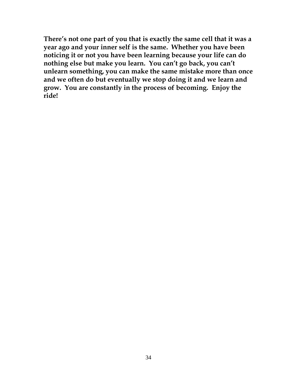**There's not one part of you that is exactly the same cell that it was a year ago and your inner self is the same. Whether you have been noticing it or not you have been learning because your life can do nothing else but make you learn. You can't go back, you can't unlearn something, you can make the same mistake more than once and we often do but eventually we stop doing it and we learn and grow. You are constantly in the process of becoming. Enjoy the ride!**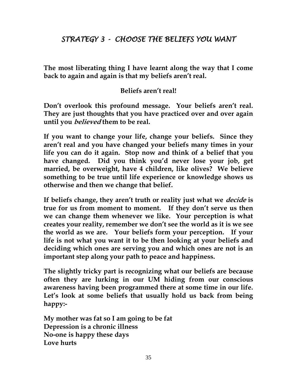## *STRATEGY 3 - CHOOSE THE BELIEFS YOU WANT*

**The most liberating thing I have learnt along the way that I come back to again and again is that my beliefs aren't real.**

#### **Beliefs aren't real!**

**Don't overlook this profound message. Your beliefs aren't real. They are just thoughts that you have practiced over and over again until you believed them to be real.** 

**If you want to change your life, change your beliefs. Since they aren't real and you have changed your beliefs many times in your life you can do it again. Stop now and think of a belief that you have changed. Did you think you'd never lose your job, get married, be overweight, have 4 children, like olives? We believe something to be true until life experience or knowledge shows us otherwise and then we change that belief.**

**If beliefs change, they aren't truth or reality just what we decide is true for us from moment to moment. If they don't serve us then we can change them whenever we like. Your perception is what creates your reality, remember we don't see the world as it is we see the world as we are. Your beliefs form your perception. If your life is not what you want it to be then looking at your beliefs and deciding which ones are serving you and which ones are not is an important step along your path to peace and happiness.**

**The slightly tricky part is recognizing what our beliefs are because often they are lurking in our UM hiding from our conscious awareness having been programmed there at some time in our life. Let's look at some beliefs that usually hold us back from being happy:-**

**My mother was fat so I am going to be fat Depression is a chronic illness No-one is happy these days Love hurts**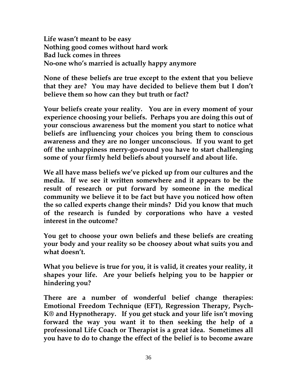**Life wasn't meant to be easy Nothing good comes without hard work Bad luck comes in threes No-one who's married is actually happy anymore**

**None of these beliefs are true except to the extent that you believe that they are? You may have decided to believe them but I don't believe them so how can they but truth or fact?**

**Your beliefs create your reality. You are in every moment of your experience choosing your beliefs. Perhaps you are doing this out of your conscious awareness but the moment you start to notice what beliefs are influencing your choices you bring them to conscious awareness and they are no longer unconscious. If you want to get off the unhappiness merry-go-round you have to start challenging some of your firmly held beliefs about yourself and about life.** 

**We all have mass beliefs we've picked up from our cultures and the media. If we see it written somewhere and it appears to be the result of research or put forward by someone in the medical community we believe it to be fact but have you noticed how often the so called experts change their minds? Did you know that much of the research is funded by corporations who have a vested interest in the outcome?**

**You get to choose your own beliefs and these beliefs are creating your body and your reality so be choosey about what suits you and what doesn't.**

**What you believe is true for you, it is valid, it creates your reality, it shapes your life. Are your beliefs helping you to be happier or hindering you?**

**There are a number of wonderful belief change therapies: Emotional Freedom Technique (EFT), Regression Therapy, Psych-K® and Hypnotherapy. If you get stuck and your life isn't moving forward the way you want it to then seeking the help of a professional Life Coach or Therapist is a great idea. Sometimes all you have to do to change the effect of the belief is to become aware**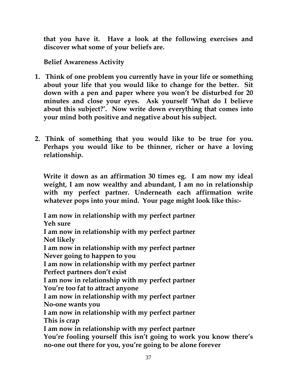**that you have it. Have a look at the following exercises and discover what some of your beliefs are.**

**Belief Awareness Activity**

- **1. Think of one problem you currently have in your life or something about your life that you would like to change for the better. Sit down with a pen and paper where you won't be disturbed for 20 minutes and close your eyes. Ask yourself 'What do I believe about this subject?'. Now write down everything that comes into your mind both positive and negative about his subject.**
- **2. Think of something that you would like to be true for you. Perhaps you would like to be thinner, richer or have a loving relationship.**

**Write it down as an affirmation 30 times eg. I am now my ideal weight, I am now wealthy and abundant, I am no in relationship with my perfect partner. Underneath each affirmation write whatever pops into your mind. Your page might look like this:-**

**I am now in relationship with my perfect partner Yeh sure I am now in relationship with my perfect partner**

**Not likely**

**I am now in relationship with my perfect partner Never going to happen to you**

**I am now in relationship with my perfect partner Perfect partners don't exist**

**I am now in relationship with my perfect partner You're too fat to attract anyone**

**I am now in relationship with my perfect partner No-one wants you**

**I am now in relationship with my perfect partner This is crap**

**I am now in relationship with my perfect partner You're fooling yourself this isn't going to work you know there's no-one out there for you, you're going to be alone forever**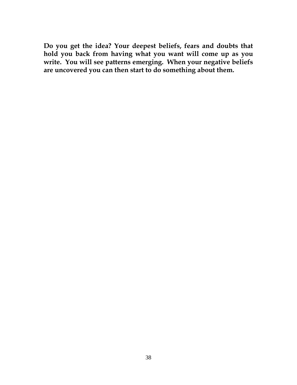**Do you get the idea? Your deepest beliefs, fears and doubts that hold you back from having what you want will come up as you write. You will see patterns emerging. When your negative beliefs are uncovered you can then start to do something about them.**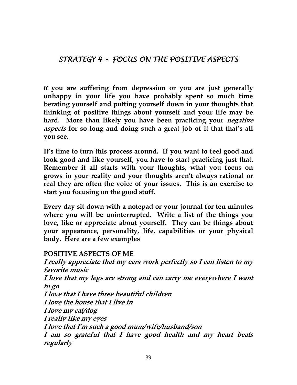*STRATEGY 4 - FOCUS ON THE POSITIVE ASPECTS*

**If you are suffering from depression or you are just generally unhappy in your life you have probably spent so much time berating yourself and putting yourself down in your thoughts that thinking of positive things about yourself and your life may be hard. More than likely you have been practicing your negative aspects for so long and doing such a great job of it that that's all you see.** 

**It's time to turn this process around. If you want to feel good and look good and like yourself, you have to start practicing just that. Remember it all starts with your thoughts, what you focus on grows in your reality and your thoughts aren't always rational or real they are often the voice of your issues. This is an exercise to start you focusing on the good stuff.**

**Every day sit down with a notepad or your journal for ten minutes where you will be uninterrupted. Write a list of the things you love, like or appreciate about yourself. They can be things about your appearance, personality, life, capabilities or your physical body. Here are a few examples**

#### **POSITIVE ASPECTS OF ME**

**I really appreciate that my ears work perfectly so I can listen to my favorite music I love that my legs are strong and can carry me everywhere I want to go I love that I have three beautiful children I love the house that I live in I love my cat/dog I really like my eyes I love that I'm such a good mum/wife/husband/son I am so grateful that I have good health and my heart beats regularly**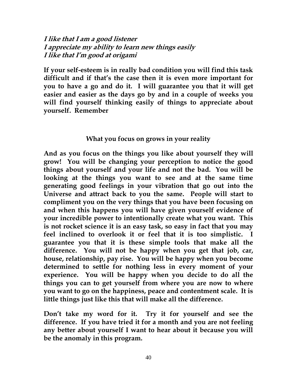#### **I like that I am a good listener I appreciate my ability to learn new things easily I like that I'm good at origami**

**If your self-esteem is in really bad condition you will find this task difficult and if that's the case then it is even more important for you to have a go and do it. I will guarantee you that it will get easier and easier as the days go by and in a couple of weeks you will find yourself thinking easily of things to appreciate about yourself. Remember**

#### **What you focus on grows in your reality**

**And as you focus on the things you like about yourself they will grow! You will be changing your perception to notice the good things about yourself and your life and not the bad. You will be looking at the things you want to see and at the same time generating good feelings in your vibration that go out into the Universe and attract back to you the same. People will start to compliment you on the very things that you have been focusing on and when this happens you will have given yourself evidence of your incredible power to intentionally create what you want. This is not rocket science it is an easy task, so easy in fact that you may feel inclined to overlook it or feel that it is too simplistic. I guarantee you that it is these simple tools that make all the difference. You will not be happy when you get that job, car, house, relationship, pay rise. You will be happy when you become determined to settle for nothing less in every moment of your experience. You will be happy when you decide to do all the things you can to get yourself from where you are now to where you want to go on the happiness, peace and contentment scale. It is little things just like this that will make all the difference.** 

**Don't take my word for it. Try it for yourself and see the difference. If you have tried it for a month and you are not feeling any better about yourself I want to hear about it because you will be the anomaly in this program.**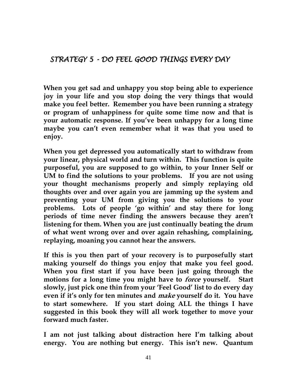*STRATEGY 5 - DO FEEL GOOD THINGS EVERY DAY*

**When you get sad and unhappy you stop being able to experience joy in your life and you stop doing the very things that would make you feel better. Remember you have been running a strategy or program of unhappiness for quite some time now and that is your automatic response. If you've been unhappy for a long time maybe you can't even remember what it was that you used to enjoy.** 

**When you get depressed you automatically start to withdraw from your linear, physical world and turn within. This function is quite purposeful, you are supposed to go within, to your Inner Self or UM to find the solutions to your problems. If you are not using your thought mechanisms properly and simply replaying old thoughts over and over again you are jamming up the system and preventing your UM from giving you the solutions to your problems. Lots of people 'go within' and stay there for long periods of time never finding the answers because they aren't listening for them. When you are just continually beating the drum of what went wrong over and over again rehashing, complaining, replaying, moaning you cannot hear the answers.**

**If this is you then part of your recovery is to purposefully start making yourself do things you enjoy that make you feel good. When you first start if you have been just going through the motions for a long time you might have to force yourself. Start slowly, just pick one thin from your 'Feel Good' list to do every day even if it's only for ten minutes and make yourself do it. You have to start somewhere. If you start doing ALL the things I have suggested in this book they will all work together to move your forward much faster.**

**I am not just talking about distraction here I'm talking about energy. You are nothing but energy. This isn't new. Quantum**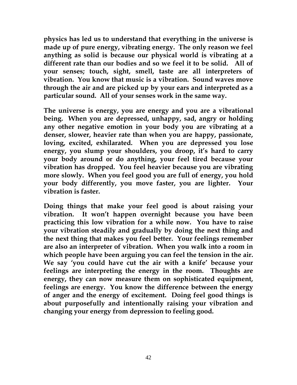**physics has led us to understand that everything in the universe is made up of pure energy, vibrating energy. The only reason we feel anything as solid is because our physical world is vibrating at a different rate than our bodies and so we feel it to be solid. All of your senses; touch, sight, smell, taste are all interpreters of vibration. You know that music is a vibration. Sound waves move through the air and are picked up by your ears and interpreted as a particular sound. All of your senses work in the same way.**

**The universe is energy, you are energy and you are a vibrational being. When you are depressed, unhappy, sad, angry or holding any other negative emotion in your body you are vibrating at a denser, slower, heavier rate than when you are happy, passionate, loving, excited, exhilarated. When you are depressed you lose energy, you slump your shoulders, you droop, it's hard to carry your body around or do anything, your feel tired because your vibration has dropped. You feel heavier because you are vibrating more slowly. When you feel good you are full of energy, you hold your body differently, you move faster, you are lighter. Your vibration is faster.**

**Doing things that make your feel good is about raising your vibration. It won't happen overnight because you have been practicing this low vibration for a while now. You have to raise your vibration steadily and gradually by doing the next thing and the next thing that makes you feel better. Your feelings remember are also an interpreter of vibration. When you walk into a room in which people have been arguing you can feel the tension in the air. We say 'you could have cut the air with a knife' because your feelings are interpreting the energy in the room. Thoughts are energy, they can now measure them on sophisticated equipment, feelings are energy. You know the difference between the energy of anger and the energy of excitement. Doing feel good things is about purposefully and intentionally raising your vibration and changing your energy from depression to feeling good.**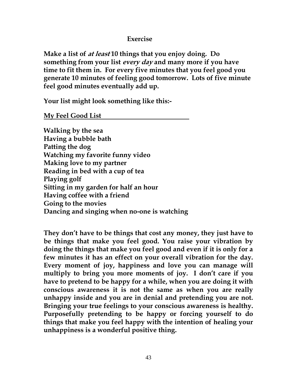#### **Exercise**

**Make a list of at least 10 things that you enjoy doing. Do something from your list every day and many more if you have time to fit them in. For every five minutes that you feel good you generate 10 minutes of feeling good tomorrow. Lots of five minute feel good minutes eventually add up.**

**Your list might look something like this:-**

**My Feel Good List**

**Walking by the sea Having a bubble bath Patting the dog Watching my favorite funny video Making love to my partner Reading in bed with a cup of tea Playing golf Sitting in my garden for half an hour Having coffee with a friend Going to the movies Dancing and singing when no-one is watching**

**They don't have to be things that cost any money, they just have to be things that make you feel good. You raise your vibration by doing the things that make you feel good and even if it is only for a few minutes it has an effect on your overall vibration for the day. Every moment of joy, happiness and love you can manage will multiply to bring you more moments of joy. I don't care if you have to pretend to be happy for a while, when you are doing it with conscious awareness it is not the same as when you are really unhappy inside and you are in denial and pretending you are not. Bringing your true feelings to your conscious awareness is healthy. Purposefully pretending to be happy or forcing yourself to do things that make you feel happy with the intention of healing your unhappiness is a wonderful positive thing.**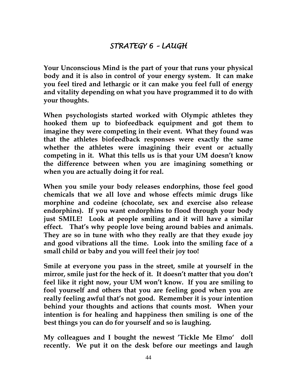**Your Unconscious Mind is the part of your that runs your physical body and it is also in control of your energy system. It can make you feel tired and lethargic or it can make you feel full of energy and vitality depending on what you have programmed it to do with your thoughts.**

**When psychologists started worked with Olympic athletes they hooked them up to biofeedback equipment and got them to imagine they were competing in their event. What they found was that the athletes biofeedback responses were exactly the same whether the athletes were imagining their event or actually competing in it. What this tells us is that your UM doesn't know the difference between when you are imagining something or when you are actually doing it for real.**

**When you smile your body releases endorphins, those feel good chemicals that we all love and whose effects mimic drugs like morphine and codeine (chocolate, sex and exercise also release endorphins). If you want endorphins to flood through your body just SMILE! Look at people smiling and it will have a similar effect. That's why people love being around babies and animals. They are so in tune with who they really are that they exude joy and good vibrations all the time. Look into the smiling face of a small child or baby and you will feel their joy too!**

**Smile at everyone you pass in the street, smile at yourself in the mirror, smile just for the heck of it. It doesn't matter that you don't feel like it right now, your UM won't know. If you are smiling to fool yourself and others that you are feeling good when you are really feeling awful that's not good. Remember it is your intention behind your thoughts and actions that counts most. When your intention is for healing and happiness then smiling is one of the best things you can do for yourself and so is laughing.**

**My colleagues and I bought the newest 'Tickle Me Elmo' doll recently. We put it on the desk before our meetings and laugh**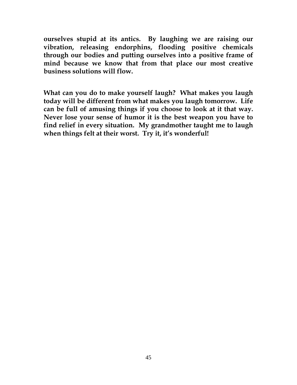**ourselves stupid at its antics. By laughing we are raising our vibration, releasing endorphins, flooding positive chemicals through our bodies and putting ourselves into a positive frame of mind because we know that from that place our most creative business solutions will flow.**

**What can you do to make yourself laugh? What makes you laugh today will be different from what makes you laugh tomorrow. Life can be full of amusing things if you choose to look at it that way. Never lose your sense of humor it is the best weapon you have to find relief in every situation. My grandmother taught me to laugh when things felt at their worst. Try it, it's wonderful!**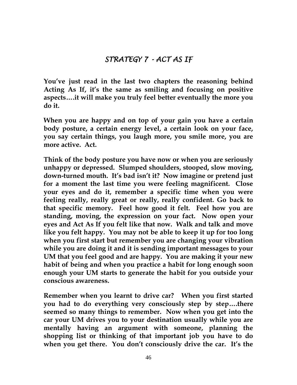## *STRATEGY 7 - ACT AS IF*

**You've just read in the last two chapters the reasoning behind Acting As If, it's the same as smiling and focusing on positive aspects….it will make you truly feel better eventually the more you do it.**

**When you are happy and on top of your gain you have a certain body posture, a certain energy level, a certain look on your face, you say certain things, you laugh more, you smile more, you are more active. Act.**

**Think of the body posture you have now or when you are seriously unhappy or depressed. Slumped shoulders, stooped, slow moving, down-turned mouth. It's bad isn't it? Now imagine or pretend just for a moment the last time you were feeling magnificent. Close your eyes and do it, remember a specific time when you were feeling really, really great or really, really confident. Go back to that specific memory. Feel how good it felt. Feel how you are standing, moving, the expression on your fact. Now open your eyes and Act As If you felt like that now. Walk and talk and move like you felt happy. You may not be able to keep it up for too long when you first start but remember you are changing your vibration while you are doing it and it is sending important messages to your UM that you feel good and are happy. You are making it your new habit of being and when you practice a habit for long enough soon enough your UM starts to generate the habit for you outside your conscious awareness.**

**Remember when you learnt to drive car? When you first started you had to do everything very consciously step by step….there seemed so many things to remember. Now when you get into the car your UM drives you to your destination usually while you are mentally having an argument with someone, planning the shopping list or thinking of that important job you have to do when you get there. You don't consciously drive the car. It's the**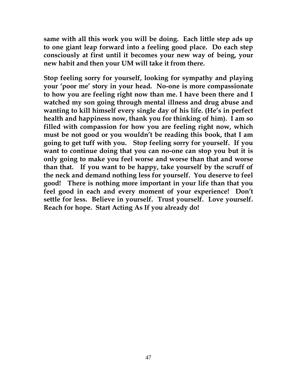**same with all this work you will be doing. Each little step ads up to one giant leap forward into a feeling good place. Do each step consciously at first until it becomes your new way of being, your new habit and then your UM will take it from there.**

**Stop feeling sorry for yourself, looking for sympathy and playing your 'poor me' story in your head. No-one is more compassionate to how you are feeling right now than me. I have been there and I watched my son going through mental illness and drug abuse and wanting to kill himself every single day of his life. (He's in perfect health and happiness now, thank you for thinking of him). I am so filled with compassion for how you are feeling right now, which must be not good or you wouldn't be reading this book, that I am going to get tuff with you. Stop feeling sorry for yourself. If you want to continue doing that you can no-one can stop you but it is only going to make you feel worse and worse than that and worse than that. If you want to be happy, take yourself by the scruff of the neck and demand nothing less for yourself. You deserve to feel good! There is nothing more important in your life than that you feel good in each and every moment of your experience! Don't settle for less. Believe in yourself. Trust yourself. Love yourself. Reach for hope. Start Acting As If you already do!**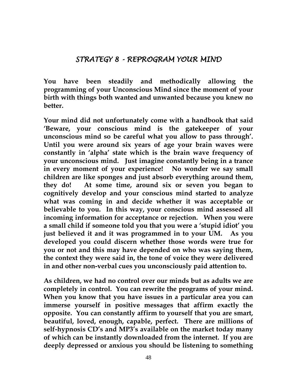#### *STRATEGY 8 - REPROGRAM YOUR MIND*

**You have been steadily and methodically allowing the programming of your Unconscious Mind since the moment of your birth with things both wanted and unwanted because you knew no better.** 

**Your mind did not unfortunately come with a handbook that said 'Beware, your conscious mind is the gatekeeper of your unconscious mind so be careful what you allow to pass through'. Until you were around six years of age your brain waves were constantly in 'alpha' state which is the brain wave frequency of your unconscious mind. Just imagine constantly being in a trance in every moment of your experience! No wonder we say small children are like sponges and just absorb everything around them, they do! At some time, around six or seven you began to cognitively develop and your conscious mind started to analyze what was coming in and decide whether it was acceptable or believable to you. In this way, your conscious mind assessed all incoming information for acceptance or rejection. When you were a small child if someone told you that you were a 'stupid idiot' you just believed it and it was programmed in to your UM. As you developed you could discern whether those words were true for you or not and this may have depended on who was saying them, the context they were said in, the tone of voice they were delivered in and other non-verbal cues you unconsciously paid attention to.**

**As children, we had no control over our minds but as adults we are completely in control. You can rewrite the programs of your mind. When you know that you have issues in a particular area you can immerse yourself in positive messages that affirm exactly the opposite. You can constantly affirm to yourself that you are smart, beautiful, loved, enough, capable, perfect. There are millions of self-hypnosis CD's and MP3's available on the market today many of which can be instantly downloaded from the internet. If you are deeply depressed or anxious you should be listening to something**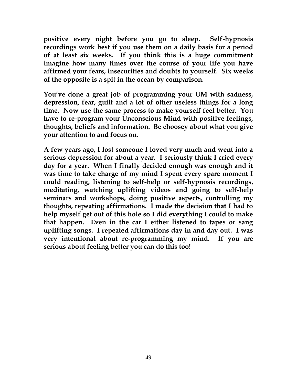**positive every night before you go to sleep. Self-hypnosis recordings work best if you use them on a daily basis for a period of at least six weeks. If you think this is a huge commitment imagine how many times over the course of your life you have affirmed your fears, insecurities and doubts to yourself. Six weeks of the opposite is a spit in the ocean by comparison.**

**You've done a great job of programming your UM with sadness, depression, fear, guilt and a lot of other useless things for a long time. Now use the same process to make yourself feel better. You have to re-program your Unconscious Mind with positive feelings, thoughts, beliefs and information. Be choosey about what you give your attention to and focus on.**

**A few years ago, I lost someone I loved very much and went into a serious depression for about a year. I seriously think I cried every day for a year. When I finally decided enough was enough and it was time to take charge of my mind I spent every spare moment I could reading, listening to self-help or self-hypnosis recordings, meditating, watching uplifting videos and going to self-help seminars and workshops, doing positive aspects, controlling my thoughts, repeating affirmations. I made the decision that I had to help myself get out of this hole so I did everything I could to make that happen. Even in the car I either listened to tapes or sang uplifting songs. I repeated affirmations day in and day out. I was very intentional about re-programming my mind. If you are serious about feeling better you can do this too!**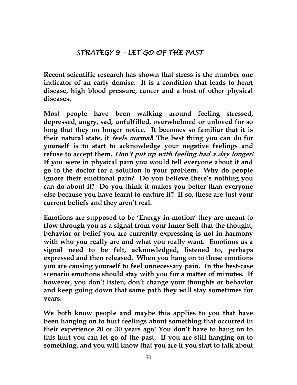## *STRATEGY 9 - LET GO OF THE PAST*

**Recent scientific research has shown that stress is the number one indicator of an early demise. It is a condition that leads to heart disease, high blood pressure, cancer and a host of other physical diseases.** 

**Most people have been walking around feeling stressed, depressed, angry, sad, unfulfilled, overwhelmed or unloved for so long that they no longer notice. It becomes so familiar that it is their natural state, it feels normal! The best thing you can do for yourself is to start to acknowledge your negative feelings and refuse to accept them. Don't put up with feeling bad a day longer! If you were in physical pain you would tell everyone about it and go to the doctor for a solution to your problem. Why do people ignore their emotional pain? Do you believe there's nothing you can do about it? Do you think it makes you better than everyone else because you have learnt to endure it? If so, these are just your current beliefs and they aren't real.**

**Emotions are supposed to be 'Energy-in-motion' they are meant to flow through you as a signal from your Inner Self that the thought, behavior or belief you are currently expressing is not in harmony with who you really are and what you really want. Emotions as a signal need to be felt, acknowledged, listened to, perhaps expressed and then released. When you hang on to these emotions you are causing yourself to feel unnecessary pain. In the best-case scenario emotions should stay with you for a matter of minutes. If however, you don't listen, don't change your thoughts or behavior and keep going down that same path they will stay sometimes for years.** 

**We both know people and maybe this applies to you that have been hanging on to hurt feelings about something that occurred in their experience 20 or 30 years ago! You don't have to hang on to this hurt you can let go of the past. If you are still hanging on to something, and you will know that you are if you start to talk about**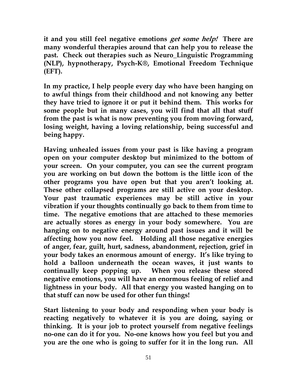**it and you still feel negative emotions get some help! There are many wonderful therapies around that can help you to release the past. Check out therapies such as Neuro\_Linguistic Programming (NLP), hypnotherapy, Psych-K®, Emotional Freedom Technique (EFT).**

**In my practice, I help people every day who have been hanging on to awful things from their childhood and not knowing any better they have tried to ignore it or put it behind them. This works for some people but in many cases, you will find that all that stuff from the past is what is now preventing you from moving forward, losing weight, having a loving relationship, being successful and being happy.**

**Having unhealed issues from your past is like having a program open on your computer desktop but minimized to the bottom of your screen. On your computer, you can see the current program you are working on but down the bottom is the little icon of the other programs you have open but that you aren't looking at. These other collapsed programs are still active on your desktop. Your past traumatic experiences may be still active in your vibration if your thoughts continually go back to them from time to time. The negative emotions that are attached to these memories are actually stores as energy in your body somewhere. You are hanging on to negative energy around past issues and it will be affecting how you now feel. Holding all those negative energies of anger, fear, guilt, hurt, sadness, abandonment, rejection, grief in your body takes an enormous amount of energy. It's like trying to hold a balloon underneath the ocean waves, it just wants to continually keep popping up. When you release these stored negative emotions, you will have an enormous feeling of relief and lightness in your body. All that energy you wasted hanging on to that stuff can now be used for other fun things!**

**Start listening to your body and responding when your body is reacting negatively to whatever it is you are doing, saying or thinking. It is your job to protect yourself from negative feelings no-one can do it for you. No-one knows how you feel but you and you are the one who is going to suffer for it in the long run. All**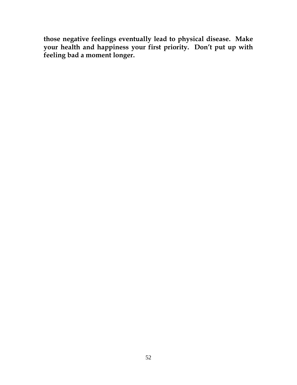**those negative feelings eventually lead to physical disease. Make your health and happiness your first priority. Don't put up with feeling bad a moment longer.**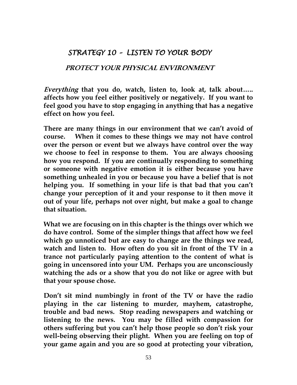## *STRATEGY 10 – LISTEN TO YOUR BODY*

#### **PROTECT YOUR PHYSICAL ENVIRONMENT**

**Everything that you do, watch, listen to, look at, talk about….. affects how you feel either positively or negatively. If you want to feel good you have to stop engaging in anything that has a negative effect on how you feel.** 

**There are many things in our environment that we can't avoid of course. When it comes to these things we may not have control over the person or event but we always have control over the way we choose to feel in response to them. You are always choosing how you respond. If you are continually responding to something or someone with negative emotion it is either because you have something unhealed in you or because you have a belief that is not helping you. If something in your life is that bad that you can't change your perception of it and your response to it then move it out of your life, perhaps not over night, but make a goal to change that situation.** 

**What we are focusing on in this chapter is the things over which we do have control. Some of the simpler things that affect how we feel which go unnoticed but are easy to change are the things we read, watch and listen to. How often do you sit in front of the TV in a trance not particularly paying attention to the content of what is going in uncensored into your UM. Perhaps you are unconsciously watching the ads or a show that you do not like or agree with but that your spouse chose.** 

**Don't sit mind numbingly in front of the TV or have the radio playing in the car listening to murder, mayhem, catastrophe, trouble and bad news. Stop reading newspapers and watching or listening to the news. You may be filled with compassion for others suffering but you can't help those people so don't risk your well-being observing their plight. When you are feeling on top of your game again and you are so good at protecting your vibration,**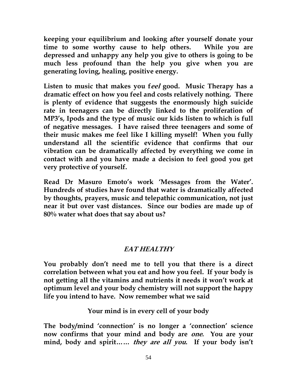**keeping your equilibrium and looking after yourself donate your time to some worthy cause to help others. While you are depressed and unhappy any help you give to others is going to be much less profound than the help you give when you are generating loving, healing, positive energy.** 

**Listen to music that makes you feel good. Music Therapy has a dramatic effect on how you feel and costs relatively nothing. There is plenty of evidence that suggests the enormously high suicide rate in teenagers can be directly linked to the proliferation of MP3's, Ipods and the type of music our kids listen to which is full of negative messages. I have raised three teenagers and some of their music makes me feel like I killing myself! When you fully understand all the scientific evidence that confirms that our vibration can be dramatically affected by everything we come in contact with and you have made a decision to feel good you get very protective of yourself.** 

**Read Dr Masuro Emoto's work 'Messages from the Water'. Hundreds of studies have found that water is dramatically affected by thoughts, prayers, music and telepathic communication, not just near it but over vast distances. Since our bodies are made up of 80% water what does that say about us?**

## **EAT HEALTHY**

**You probably don't need me to tell you that there is a direct correlation between what you eat and how you feel. If your body is not getting all the vitamins and nutrients it needs it won't work at optimum level and your body chemistry will not support the happy life you intend to have. Now remember what we said**

**Your mind is in every cell of your body**

**The body/mind 'connection' is no longer a 'connection' science now confirms that your mind and body are one. You are your mind, body and spirit…… they are all you. If your body isn't**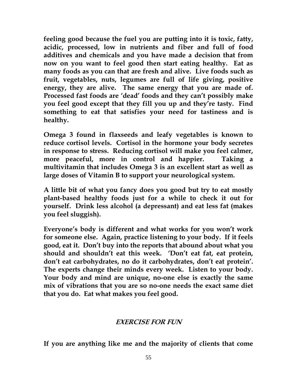**feeling good because the fuel you are putting into it is toxic, fatty, acidic, processed, low in nutrients and fiber and full of food additives and chemicals and you have made a decision that from now on you want to feel good then start eating healthy. Eat as many foods as you can that are fresh and alive. Live foods such as fruit, vegetables, nuts, legumes are full of life giving, positive energy, they are alive. The same energy that you are made of. Processed fast foods are 'dead' foods and they can't possibly make you feel good except that they fill you up and they're tasty. Find something to eat that satisfies your need for tastiness and is healthy.**

**Omega 3 found in flaxseeds and leafy vegetables is known to reduce cortisol levels. Cortisol in the hormone your body secretes in response to stress. Reducing cortisol will make you feel calmer, more peaceful, more in control and happier. Taking a multivitamin that includes Omega 3 is an excellent start as well as large doses of Vitamin B to support your neurological system.**

**A little bit of what you fancy does you good but try to eat mostly plant-based healthy foods just for a while to check it out for yourself. Drink less alcohol (a depressant) and eat less fat (makes you feel sluggish).** 

**Everyone's body is different and what works for you won't work for someone else. Again, practice listening to your body. If it feels good, eat it. Don't buy into the reports that abound about what you should and shouldn't eat this week. 'Don't eat fat, eat protein, don't eat carbohydrates, no do it carbohydrates, don't eat protein'. The experts change their minds every week. Listen to your body. Your body and mind are unique, no-one else is exactly the same mix of vibrations that you are so no-one needs the exact same diet that you do. Eat what makes you feel good.**

#### **EXERCISE FOR FUN**

**If you are anything like me and the majority of clients that come**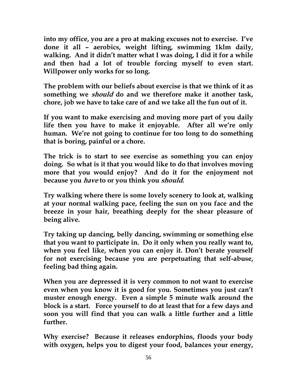**into my office, you are a pro at making excuses not to exercise. I've done it all – aerobics, weight lifting, swimming 1klm daily, walking. And it didn't matter what I was doing, I did it for a while and then had a lot of trouble forcing myself to even start. Willpower only works for so long.**

**The problem with our beliefs about exercise is that we think of it as something we should do and we therefore make it another task, chore, job we have to take care of and we take all the fun out of it.**

**If you want to make exercising and moving more part of you daily life then you have to make it enjoyable. After all we're only human. We're not going to continue for too long to do something that is boring, painful or a chore.**

**The trick is to start to see exercise as something you can enjoy doing. So what is it that you would like to do that involves moving more that you would enjoy? And do it for the enjoyment not because you have to or you think you should.**

**Try walking where there is some lovely scenery to look at, walking at your normal walking pace, feeling the sun on you face and the breeze in your hair, breathing deeply for the shear pleasure of being alive.**

**Try taking up dancing, belly dancing, swimming or something else that you want to participate in. Do it only when you really want to, when you feel like, when you can enjoy it. Don't berate yourself for not exercising because you are perpetuating that self-abuse, feeling bad thing again.** 

**When you are depressed it is very common to not want to exercise even when you know it is good for you. Sometimes you just can't muster enough energy. Even a simple 5 minute walk around the block is a start. Force yourself to do at least that for a few days and soon you will find that you can walk a little further and a little further.**

**Why exercise? Because it releases endorphins, floods your body with oxygen, helps you to digest your food, balances your energy,**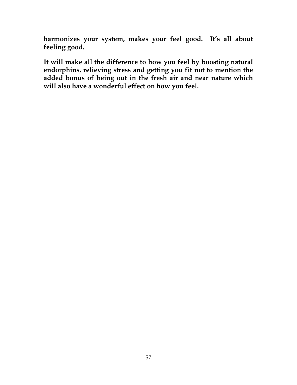**harmonizes your system, makes your feel good. It's all about feeling good.**

**It will make all the difference to how you feel by boosting natural endorphins, relieving stress and getting you fit not to mention the added bonus of being out in the fresh air and near nature which will also have a wonderful effect on how you feel.**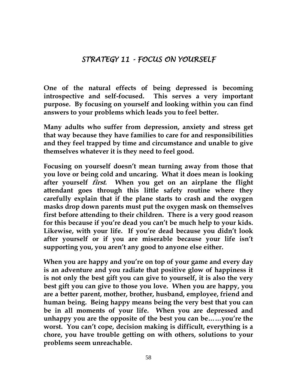## *STRATEGY 11 - FOCUS ON YOURSELF*

**One of the natural effects of being depressed is becoming introspective and self-focused. This serves a very important purpose. By focusing on yourself and looking within you can find answers to your problems which leads you to feel better.**

**Many adults who suffer from depression, anxiety and stress get that way because they have families to care for and responsibilities and they feel trapped by time and circumstance and unable to give themselves whatever it is they need to feel good.**

**Focusing on yourself doesn't mean turning away from those that you love or being cold and uncaring. What it does mean is looking after yourself first. When you get on an airplane the flight attendant goes through this little safety routine where they carefully explain that if the plane starts to crash and the oxygen masks drop down parents must put the oxygen mask on themselves first before attending to their children. There is a very good reason for this because if you're dead you can't be much help to your kids. Likewise, with your life. If you're dead because you didn't look after yourself or if you are miserable because your life isn't supporting you, you aren't any good to anyone else either.**

**When you are happy and you're on top of your game and every day is an adventure and you radiate that positive glow of happiness it is not only the best gift you can give to yourself, it is also the very best gift you can give to those you love. When you are happy, you are a better parent, mother, brother, husband, employee, friend and human being. Being happy means being the very best that you can be in all moments of your life. When you are depressed and unhappy you are the opposite of the best you can be……you're the worst. You can't cope, decision making is difficult, everything is a chore, you have trouble getting on with others, solutions to your problems seem unreachable.**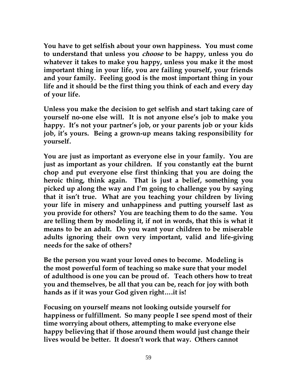**You have to get selfish about your own happiness. You must come to understand that unless you choose to be happy, unless you do whatever it takes to make you happy, unless you make it the most important thing in your life, you are failing yourself, your friends and your family. Feeling good is the most important thing in your life and it should be the first thing you think of each and every day of your life.**

**Unless you make the decision to get selfish and start taking care of yourself no-one else will. It is not anyone else's job to make you happy. It's not your partner's job, or your parents job or your kids job, it's yours. Being a grown-up means taking responsibility for yourself.**

**You are just as important as everyone else in your family. You are just as important as your children. If you constantly eat the burnt chop and put everyone else first thinking that you are doing the heroic thing, think again. That is just a belief, something you picked up along the way and I'm going to challenge you by saying that it isn't true. What are you teaching your children by living your life in misery and unhappiness and putting yourself last as you provide for others? You are teaching them to do the same. You are telling them by modeling it, if not in words, that this is what it means to be an adult. Do you want your children to be miserable adults ignoring their own very important, valid and life-giving needs for the sake of others?**

**Be the person you want your loved ones to become. Modeling is the most powerful form of teaching so make sure that your model of adulthood is one you can be proud of. Teach others how to treat you and themselves, be all that you can be, reach for joy with both hands as if it was your God given right….it is!** 

**Focusing on yourself means not looking outside yourself for happiness or fulfillment. So many people I see spend most of their time worrying about others, attempting to make everyone else happy believing that if those around them would just change their lives would be better. It doesn't work that way. Others cannot**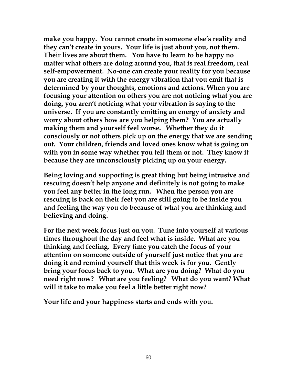**make you happy. You cannot create in someone else's reality and they can't create in yours. Your life is just about you, not them. Their lives are about them. You have to learn to be happy no matter what others are doing around you, that is real freedom, real self-empowerment. No-one can create your reality for you because you are creating it with the energy vibration that you emit that is determined by your thoughts, emotions and actions. When you are focusing your attention on others you are not noticing what you are doing, you aren't noticing what your vibration is saying to the universe. If you are constantly emitting an energy of anxiety and worry about others how are you helping them? You are actually making them and yourself feel worse. Whether they do it consciously or not others pick up on the energy that we are sending out. Your children, friends and loved ones know what is going on with you in some way whether you tell them or not. They know it because they are unconsciously picking up on your energy.**

**Being loving and supporting is great thing but being intrusive and rescuing doesn't help anyone and definitely is not going to make you feel any better in the long run. When the person you are rescuing is back on their feet you are still going to be inside you and feeling the way you do because of what you are thinking and believing and doing.**

**For the next week focus just on you. Tune into yourself at various times throughout the day and feel what is inside. What are you thinking and feeling. Every time you catch the focus of your attention on someone outside of yourself just notice that you are doing it and remind yourself that this week is for you. Gently bring your focus back to you. What are you doing? What do you need right now? What are you feeling? What do you want? What will it take to make you feel a little better right now?** 

**Your life and your happiness starts and ends with you.**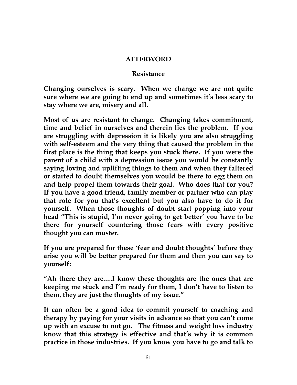#### **AFTERWORD**

#### **Resistance**

**Changing ourselves is scary. When we change we are not quite sure where we are going to end up and sometimes it's less scary to stay where we are, misery and all.**

**Most of us are resistant to change. Changing takes commitment, time and belief in ourselves and therein lies the problem. If you are struggling with depression it is likely you are also struggling with self-esteem and the very thing that caused the problem in the first place is the thing that keeps you stuck there. If you were the parent of a child with a depression issue you would be constantly saying loving and uplifting things to them and when they faltered or started to doubt themselves you would be there to egg them on and help propel them towards their goal. Who does that for you? If you have a good friend, family member or partner who can play that role for you that's excellent but you also have to do it for yourself. When those thoughts of doubt start popping into your head "This is stupid, I'm never going to get better' you have to be there for yourself countering those fears with every positive thought you can muster.**

**If you are prepared for these 'fear and doubt thoughts' before they arise you will be better prepared for them and then you can say to yourself:**

**"Ah there they are….I know these thoughts are the ones that are keeping me stuck and I'm ready for them, I don't have to listen to them, they are just the thoughts of my issue."**

**It can often be a good idea to commit yourself to coaching and therapy by paying for your visits in advance so that you can't come up with an excuse to not go. The fitness and weight loss industry know that this strategy is effective and that's why it is common practice in those industries. If you know you have to go and talk to**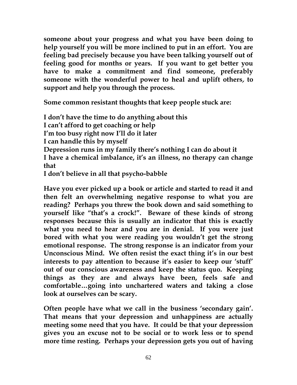**someone about your progress and what you have been doing to help yourself you will be more inclined to put in an effort. You are feeling bad precisely because you have been talking yourself out of feeling good for months or years. If you want to get better you have to make a commitment and find someone, preferably someone with the wonderful power to heal and uplift others, to support and help you through the process.**

**Some common resistant thoughts that keep people stuck are:**

**I don't have the time to do anything about this I can't afford to get coaching or help I'm too busy right now I'll do it later I can handle this by myself Depression runs in my family there's nothing I can do about it I have a chemical imbalance, it's an illness, no therapy can change that I don't believe in all that psycho-babble**

**Have you ever picked up a book or article and started to read it and then felt an overwhelming negative response to what you are reading? Perhaps you threw the book down and said something to yourself like "that's a crock!". Beware of these kinds of strong responses because this is usually an indicator that this is exactly what you need to hear and you are in denial. If you were just bored with what you were reading you wouldn't get the strong emotional response. The strong response is an indicator from your Unconscious Mind. We often resist the exact thing it's in our best interests to pay attention to because it's easier to keep our 'stuff' out of our conscious awareness and keep the status quo. Keeping things as they are and always have been, feels safe and comfortable…going into unchartered waters and taking a close look at ourselves can be scary.**

**Often people have what we call in the business 'secondary gain'. That means that your depression and unhappiness are actually meeting some need that you have. It could be that your depression gives you an excuse not to be social or to work less or to spend more time resting. Perhaps your depression gets you out of having**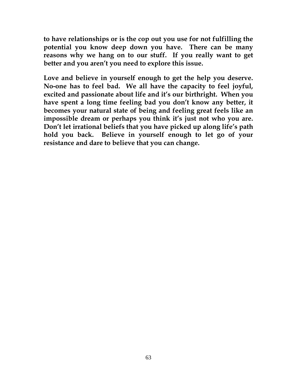**to have relationships or is the cop out you use for not fulfilling the potential you know deep down you have. There can be many reasons why we hang on to our stuff. If you really want to get better and you aren't you need to explore this issue.**

**Love and believe in yourself enough to get the help you deserve. No-one has to feel bad. We all have the capacity to feel joyful, excited and passionate about life and it's our birthright. When you have spent a long time feeling bad you don't know any better, it becomes your natural state of being and feeling great feels like an impossible dream or perhaps you think it's just not who you are. Don't let irrational beliefs that you have picked up along life's path hold you back. Believe in yourself enough to let go of your resistance and dare to believe that you can change.**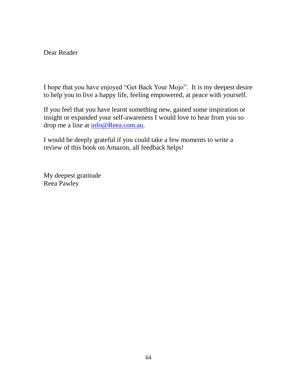Dear Reader

I hope that you have enjoyed "Get Back Your Mojo". It is my deepest desire to help you to live a happy life, feeling empowered, at peace with yourself.

If you feel that you have learnt something new, gained some inspiration or insight or expanded your self-awareness I would love to hear from you so drop me a line at info@Reea.com.au.

I would be deeply grateful if you could take a few moments to write a review of this book on Amazon, all feedback helps!

My deepest gratitude Reea Pawley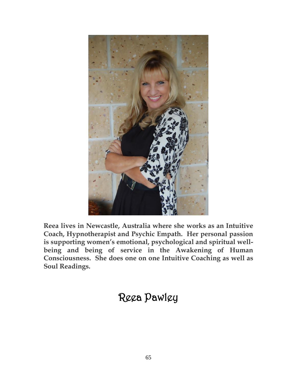

**Reea lives in Newcastle, Australia where she works as an Intuitive Coach, Hypnotherapist and Psychic Empath. Her personal passion is supporting women's emotional, psychological and spiritual wellbeing and being of service in the Awakening of Human Consciousness. She does one on one Intuitive Coaching as well as Soul Readings.**

# Reea Pawley